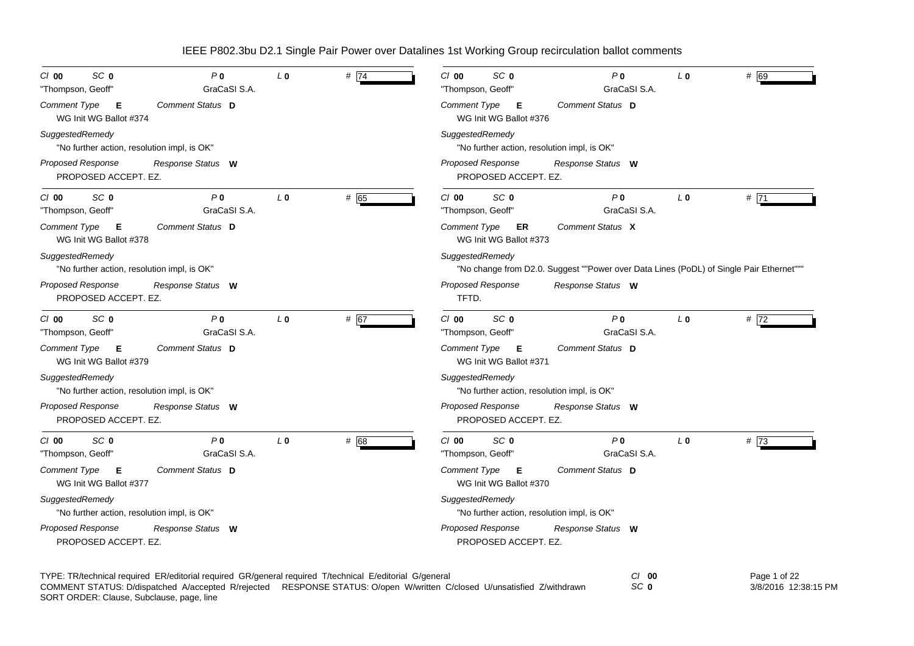| SC <sub>0</sub><br>P <sub>0</sub><br>C/O<br>GraCaSI S.A.<br>"Thompson, Geoff"     | $L_0$          | # $ 74$ | SC <sub>0</sub><br>$Cl$ 00<br>"Thompson, Geoff"                | P <sub>0</sub><br>GraCaSI S.A.                                                          | L <sub>0</sub> | # 69 |
|-----------------------------------------------------------------------------------|----------------|---------|----------------------------------------------------------------|-----------------------------------------------------------------------------------------|----------------|------|
| Comment Type<br>Comment Status D<br>E<br>WG Init WG Ballot #374                   |                |         | Comment Type<br>- E<br>WG Init WG Ballot #376                  | <b>Comment Status D</b>                                                                 |                |      |
| SuggestedRemedy<br>"No further action, resolution impl, is OK"                    |                |         | SuggestedRemedy<br>"No further action, resolution impl, is OK" |                                                                                         |                |      |
| <b>Proposed Response</b><br>Response Status W<br>PROPOSED ACCEPT. EZ.             |                |         | Proposed Response<br>PROPOSED ACCEPT. EZ.                      | Response Status W                                                                       |                |      |
| SC <sub>0</sub><br>P <sub>0</sub><br>C/O<br>GraCaSI S.A.<br>"Thompson, Geoff"     | L <sub>0</sub> | # 65    | SC <sub>0</sub><br>$Cl$ 00<br>"Thompson, Geoff"                | P <sub>0</sub><br>GraCaSI S.A.                                                          | $L_0$          | #71  |
| Comment Type<br>Comment Status D<br>E<br>WG Init WG Ballot #378                   |                |         | Comment Type<br>ER<br>WG Init WG Ballot #373                   | Comment Status X                                                                        |                |      |
| SuggestedRemedy<br>"No further action, resolution impl, is OK"                    |                |         | SuggestedRemedy                                                | "No change from D2.0. Suggest ""Power over Data Lines (PoDL) of Single Pair Ethernet""" |                |      |
| <b>Proposed Response</b><br>Response Status W<br>PROPOSED ACCEPT. EZ.             |                |         | Proposed Response<br>TFTD.                                     | Response Status W                                                                       |                |      |
| SC <sub>0</sub><br>P <sub>0</sub><br>$Cl$ 00<br>GraCaSI S.A.<br>"Thompson, Geoff" | L <sub>0</sub> | # 67    | SC <sub>0</sub><br>$Cl$ 00<br>"Thompson, Geoff"                | P <sub>0</sub><br>GraCaSI S.A.                                                          | $L_0$          | #72  |
| Comment Type<br>Comment Status D<br>Е<br>WG Init WG Ballot #379                   |                |         | Comment Type<br>Е<br>WG Init WG Ballot #371                    | Comment Status D                                                                        |                |      |
| SuggestedRemedy<br>"No further action, resolution impl, is OK"                    |                |         | SuggestedRemedy<br>"No further action, resolution impl, is OK" |                                                                                         |                |      |
| <b>Proposed Response</b><br>Response Status W<br>PROPOSED ACCEPT. EZ.             |                |         | Proposed Response<br>PROPOSED ACCEPT. EZ.                      | Response Status W                                                                       |                |      |
| SC <sub>0</sub><br>P <sub>0</sub><br>$Cl$ 00<br>GraCaSI S.A.<br>"Thompson, Geoff" | L <sub>0</sub> | # 68    | SC <sub>0</sub><br>$Cl$ 00<br>"Thompson, Geoff"                | P <sub>0</sub><br>GraCaSI S.A.                                                          | L <sub>0</sub> | #73  |
| Comment Type<br>Comment Status D<br>Е<br>WG Init WG Ballot #377                   |                |         | Comment Type<br>Е<br>WG Init WG Ballot #370                    | Comment Status D                                                                        |                |      |
| SuggestedRemedy<br>"No further action, resolution impl, is OK"                    |                |         | SuggestedRemedy<br>"No further action, resolution impl, is OK" |                                                                                         |                |      |
| <b>Proposed Response</b><br>Response Status W<br>PROPOSED ACCEPT. EZ.             |                |         | Proposed Response<br>PROPOSED ACCEPT. EZ.                      | Response Status W                                                                       |                |      |

TYPE: TR/technical required ER/editorial required GR/general required T/technical E/editorial G/general *Cl* **00** *SC* **0** SORT ORDER: Clause, Subclause, page, line COMMENT STATUS: D/dispatched A/accepted R/rejected RESPONSE STATUS: O/open W/written C/closed U/unsatisfied Z/withdrawn

Page 1 of 22 3/8/2016 12:38:15 PM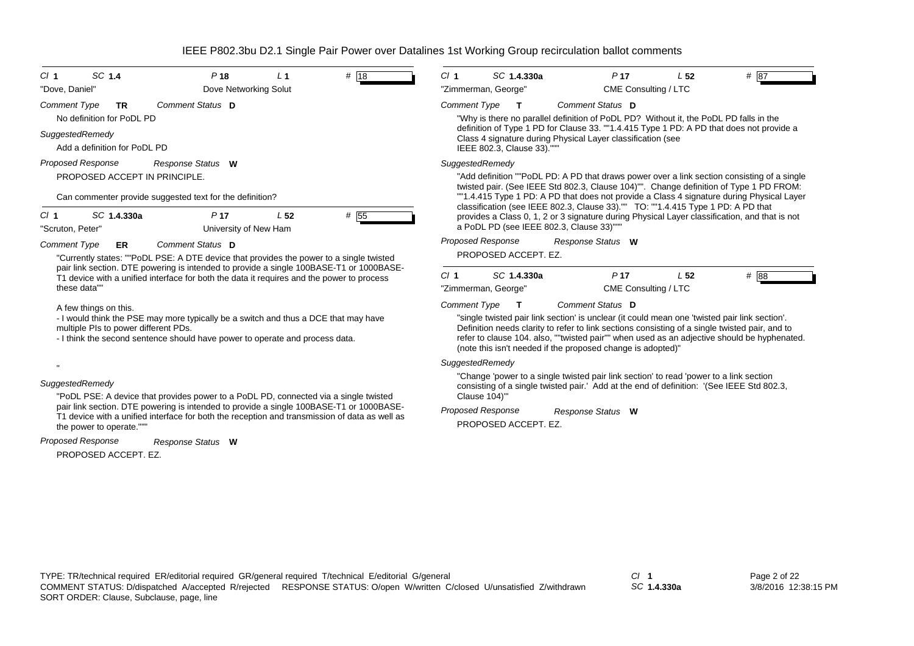| CI <sub>1</sub><br>"Dove, Daniel"                                                                                                                                                                           | SC 1.4                                          | P <sub>18</sub><br>Dove Networking Solut                                                                                                                                                 | L <sub>1</sub>  | # 18                                                                                                                                                                                                                                                                                                                                                          | CI <sub>1</sub>     | SC 1.4.330a<br>"Zimmerman, George"      |  | P <sub>17</sub><br>CME Consulting / LTC                                                                          | L <sub>52</sub> | # 87                                                                                                                                                                                  |
|-------------------------------------------------------------------------------------------------------------------------------------------------------------------------------------------------------------|-------------------------------------------------|------------------------------------------------------------------------------------------------------------------------------------------------------------------------------------------|-----------------|---------------------------------------------------------------------------------------------------------------------------------------------------------------------------------------------------------------------------------------------------------------------------------------------------------------------------------------------------------------|---------------------|-----------------------------------------|--|------------------------------------------------------------------------------------------------------------------|-----------------|---------------------------------------------------------------------------------------------------------------------------------------------------------------------------------------|
|                                                                                                                                                                                                             |                                                 |                                                                                                                                                                                          |                 |                                                                                                                                                                                                                                                                                                                                                               |                     |                                         |  |                                                                                                                  |                 |                                                                                                                                                                                       |
| <b>Comment Type</b>                                                                                                                                                                                         | <b>TR</b><br>No definition for PoDL PD          | Comment Status D                                                                                                                                                                         |                 |                                                                                                                                                                                                                                                                                                                                                               | <b>Comment Type</b> | $\mathbf{T}$                            |  | <b>Comment Status D</b><br>"Why is there no parallel definition of PoDL PD? Without it, the PoDL PD falls in the |                 |                                                                                                                                                                                       |
|                                                                                                                                                                                                             | SuggestedRemedy<br>Add a definition for PoDL PD |                                                                                                                                                                                          |                 |                                                                                                                                                                                                                                                                                                                                                               |                     | IEEE 802.3, Clause 33).""               |  | Class 4 signature during Physical Layer classification (see                                                      |                 | definition of Type 1 PD for Clause 33. ""1.4.415 Type 1 PD: A PD that does not provide a                                                                                              |
|                                                                                                                                                                                                             | Proposed Response                               | Response Status W                                                                                                                                                                        |                 |                                                                                                                                                                                                                                                                                                                                                               |                     | SuggestedRemedy                         |  |                                                                                                                  |                 |                                                                                                                                                                                       |
|                                                                                                                                                                                                             | PROPOSED ACCEPT IN PRINCIPLE.                   |                                                                                                                                                                                          |                 |                                                                                                                                                                                                                                                                                                                                                               |                     |                                         |  |                                                                                                                  |                 | "Add definition ""PoDL PD: A PD that draws power over a link section consisting of a single<br>twisted pair. (See IEEE Std 802.3, Clause 104)"". Change definition of Type 1 PD FROM: |
|                                                                                                                                                                                                             |                                                 | Can commenter provide suggested text for the definition?                                                                                                                                 |                 |                                                                                                                                                                                                                                                                                                                                                               |                     |                                         |  |                                                                                                                  |                 | "1.4.415 Type 1 PD: A PD that does not provide a Class 4 signature during Physical Layer                                                                                              |
| CI <sub>1</sub><br>"Scruton, Peter"                                                                                                                                                                         | SC 1.4.330a                                     | P <sub>17</sub><br>University of New Ham                                                                                                                                                 | L <sub>52</sub> | # 55                                                                                                                                                                                                                                                                                                                                                          |                     | a PoDL PD (see IEEE 802.3, Clause 33)"" |  | classification (see IEEE 802.3, Clause 33)."" TO: ""1.4.415 Type 1 PD: A PD that                                 |                 | provides a Class 0, 1, 2 or 3 signature during Physical Layer classification, and that is not                                                                                         |
| <b>Comment Type</b>                                                                                                                                                                                         | <b>ER</b>                                       | Comment Status D                                                                                                                                                                         |                 |                                                                                                                                                                                                                                                                                                                                                               |                     | Proposed Response                       |  | Response Status W                                                                                                |                 |                                                                                                                                                                                       |
|                                                                                                                                                                                                             |                                                 | "Currently states: ""PoDL PSE: A DTE device that provides the power to a single twisted                                                                                                  |                 |                                                                                                                                                                                                                                                                                                                                                               |                     | PROPOSED ACCEPT. EZ.                    |  |                                                                                                                  |                 |                                                                                                                                                                                       |
|                                                                                                                                                                                                             | these data""                                    | pair link section. DTE powering is intended to provide a single 100BASE-T1 or 1000BASE-<br>T1 device with a unified interface for both the data it requires and the power to process     |                 |                                                                                                                                                                                                                                                                                                                                                               | CI <sub>1</sub>     | SC 1.4.330a<br>"Zimmerman, George"      |  | P <sub>17</sub><br>CME Consulting / LTC                                                                          | L <sub>52</sub> | # 88                                                                                                                                                                                  |
|                                                                                                                                                                                                             | A few things on this.                           |                                                                                                                                                                                          |                 |                                                                                                                                                                                                                                                                                                                                                               | <b>Comment Type</b> | $\mathbf{T}$                            |  | Comment Status D                                                                                                 |                 |                                                                                                                                                                                       |
| - I would think the PSE may more typically be a switch and thus a DCE that may have<br>multiple PIs to power different PDs.<br>- I think the second sentence should have power to operate and process data. |                                                 |                                                                                                                                                                                          |                 | "single twisted pair link section' is unclear (it could mean one 'twisted pair link section'.<br>Definition needs clarity to refer to link sections consisting of a single twisted pair, and to<br>refer to clause 104. also, ""twisted pair"" when used as an adjective should be hyphenated.<br>(note this isn't needed if the proposed change is adopted)" |                     |                                         |  |                                                                                                                  |                 |                                                                                                                                                                                       |
|                                                                                                                                                                                                             |                                                 |                                                                                                                                                                                          |                 |                                                                                                                                                                                                                                                                                                                                                               |                     | SuggestedRemedy                         |  |                                                                                                                  |                 |                                                                                                                                                                                       |
| SuggestedRemedy<br>"PoDL PSE: A device that provides power to a PoDL PD, connected via a single twisted                                                                                                     |                                                 |                                                                                                                                                                                          |                 | "Change 'power to a single twisted pair link section' to read 'power to a link section<br>consisting of a single twisted pair.' Add at the end of definition: '(See IEEE Std 802.3,<br>Clause 104)"                                                                                                                                                           |                     |                                         |  |                                                                                                                  |                 |                                                                                                                                                                                       |
|                                                                                                                                                                                                             |                                                 | pair link section. DTE powering is intended to provide a single 100BASE-T1 or 1000BASE-<br>T1 device with a unified interface for both the reception and transmission of data as well as |                 |                                                                                                                                                                                                                                                                                                                                                               |                     | <b>Proposed Response</b>                |  | Response Status W                                                                                                |                 |                                                                                                                                                                                       |
|                                                                                                                                                                                                             | the power to operate."""                        |                                                                                                                                                                                          |                 |                                                                                                                                                                                                                                                                                                                                                               |                     | PROPOSED ACCEPT. EZ.                    |  |                                                                                                                  |                 |                                                                                                                                                                                       |
|                                                                                                                                                                                                             | <b>Proposed Response</b>                        | Response Status W                                                                                                                                                                        |                 |                                                                                                                                                                                                                                                                                                                                                               |                     |                                         |  |                                                                                                                  |                 |                                                                                                                                                                                       |
|                                                                                                                                                                                                             | PROPOSED ACCEPT. EZ.                            |                                                                                                                                                                                          |                 |                                                                                                                                                                                                                                                                                                                                                               |                     |                                         |  |                                                                                                                  |                 |                                                                                                                                                                                       |
|                                                                                                                                                                                                             |                                                 |                                                                                                                                                                                          |                 |                                                                                                                                                                                                                                                                                                                                                               |                     |                                         |  |                                                                                                                  |                 |                                                                                                                                                                                       |
|                                                                                                                                                                                                             |                                                 |                                                                                                                                                                                          |                 |                                                                                                                                                                                                                                                                                                                                                               |                     |                                         |  |                                                                                                                  |                 |                                                                                                                                                                                       |
|                                                                                                                                                                                                             |                                                 |                                                                                                                                                                                          |                 |                                                                                                                                                                                                                                                                                                                                                               |                     |                                         |  |                                                                                                                  |                 |                                                                                                                                                                                       |
|                                                                                                                                                                                                             |                                                 |                                                                                                                                                                                          |                 |                                                                                                                                                                                                                                                                                                                                                               |                     |                                         |  |                                                                                                                  |                 |                                                                                                                                                                                       |

*SC* **1.4.330a**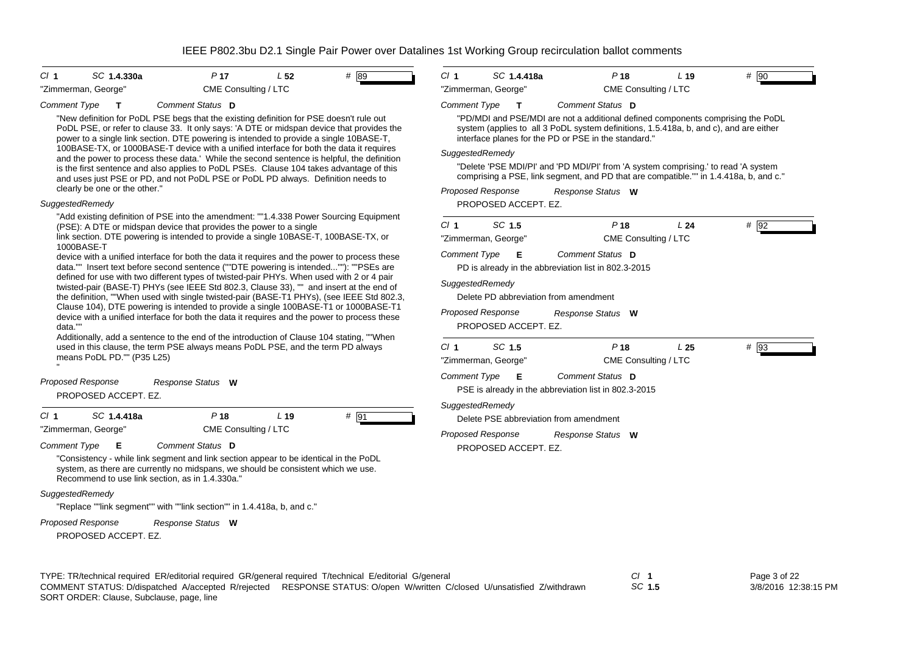| # 89<br>CI <sub>1</sub><br>SC 1.4.330a<br>P <sub>17</sub><br>L <sub>52</sub>                                                                                                                                                                                                                                                                                                                                                                                                                                                                                                                                                                                                                           | $CI$ 1<br>SC 1.4.418a<br>P <sub>18</sub>                                                                                                                                                                                                                                                                                                                                                                                                                                           | # 90<br>L <sub>19</sub>                           |
|--------------------------------------------------------------------------------------------------------------------------------------------------------------------------------------------------------------------------------------------------------------------------------------------------------------------------------------------------------------------------------------------------------------------------------------------------------------------------------------------------------------------------------------------------------------------------------------------------------------------------------------------------------------------------------------------------------|------------------------------------------------------------------------------------------------------------------------------------------------------------------------------------------------------------------------------------------------------------------------------------------------------------------------------------------------------------------------------------------------------------------------------------------------------------------------------------|---------------------------------------------------|
| "Zimmerman, George"<br>CME Consulting / LTC                                                                                                                                                                                                                                                                                                                                                                                                                                                                                                                                                                                                                                                            | "Zimmerman, George"                                                                                                                                                                                                                                                                                                                                                                                                                                                                | CME Consulting / LTC                              |
| <b>Comment Type</b><br>Comment Status D<br>т<br>"New definition for PoDL PSE begs that the existing definition for PSE doesn't rule out<br>PoDL PSE, or refer to clause 33. It only says: 'A DTE or midspan device that provides the<br>power to a single link section. DTE powering is intended to provide a single 10BASE-T,<br>100BASE-TX, or 1000BASE-T device with a unified interface for both the data it requires<br>and the power to process these data.' While the second sentence is helpful, the definition<br>is the first sentence and also applies to PoDL PSEs. Clause 104 takes advantage of this<br>and uses just PSE or PD, and not PoDL PSE or PoDL PD always. Definition needs to | <b>Comment Type</b><br>Comment Status D<br>т<br>"PD/MDI and PSE/MDI are not a additional defined components comprising the PoDL<br>system (applies to all 3 PoDL system definitions, 1.5.418a, b, and c), and are either<br>interface planes for the PD or PSE in the standard."<br>SuggestedRemedy<br>"Delete 'PSE MDI/PI' and 'PD MDI/PI' from 'A system comprising.' to read 'A system<br>comprising a PSE, link segment, and PD that are compatible."" in 1.4.418a, b, and c." |                                                   |
| clearly be one or the other."<br>SuggestedRemedy                                                                                                                                                                                                                                                                                                                                                                                                                                                                                                                                                                                                                                                       | <b>Proposed Response</b><br>Response Status W                                                                                                                                                                                                                                                                                                                                                                                                                                      |                                                   |
| "Add existing definition of PSE into the amendment: ""1.4.338 Power Sourcing Equipment                                                                                                                                                                                                                                                                                                                                                                                                                                                                                                                                                                                                                 | PROPOSED ACCEPT. EZ.                                                                                                                                                                                                                                                                                                                                                                                                                                                               |                                                   |
| (PSE): A DTE or midspan device that provides the power to a single<br>link section. DTE powering is intended to provide a single 10BASE-T, 100BASE-TX, or<br>1000BASE-T                                                                                                                                                                                                                                                                                                                                                                                                                                                                                                                                | SC 1.5<br>P <sub>18</sub><br>Cl <sub>1</sub><br>"Zimmerman, George"                                                                                                                                                                                                                                                                                                                                                                                                                | L <sub>24</sub><br>$#$ 92<br>CME Consulting / LTC |
| device with a unified interface for both the data it requires and the power to process these<br>data."" Insert text before second sentence (""DTE powering is intended""): ""PSEs are<br>defined for use with two different types of twisted-pair PHYs. When used with 2 or 4 pair<br>twisted-pair (BASE-T) PHYs (see IEEE Std 802.3, Clause 33), "" and insert at the end of<br>the definition, ""When used with single twisted-pair (BASE-T1 PHYs), (see IEEE Std 802.3,                                                                                                                                                                                                                             | <b>Comment Type</b><br>Comment Status D<br>Е<br>PD is already in the abbreviation list in 802.3-2015<br>SuggestedRemedy<br>Delete PD abbreviation from amendment                                                                                                                                                                                                                                                                                                                   |                                                   |
| Clause 104), DTE powering is intended to provide a single 100BASE-T1 or 1000BASE-T1<br>device with a unified interface for both the data it requires and the power to process these<br>data.""<br>Additionally, add a sentence to the end of the introduction of Clause 104 stating, ""When                                                                                                                                                                                                                                                                                                                                                                                                            | <b>Proposed Response</b><br>Response Status W<br>PROPOSED ACCEPT. EZ.                                                                                                                                                                                                                                                                                                                                                                                                              |                                                   |
| used in this clause, the term PSE always means PoDL PSE, and the term PD always<br>means PoDL PD."" (P35 L25)                                                                                                                                                                                                                                                                                                                                                                                                                                                                                                                                                                                          | SC 1.5<br>P <sub>18</sub><br>$CI$ 1<br>"Zimmerman, George"                                                                                                                                                                                                                                                                                                                                                                                                                         | L <sub>25</sub><br># 93<br>CME Consulting / LTC   |
| Proposed Response<br>Response Status W<br>PROPOSED ACCEPT. EZ.                                                                                                                                                                                                                                                                                                                                                                                                                                                                                                                                                                                                                                         | <b>Comment Type</b><br>Comment Status D<br>Е<br>PSE is already in the abbreviation list in 802.3-2015                                                                                                                                                                                                                                                                                                                                                                              |                                                   |
| P <sub>18</sub><br># 91<br>$CI$ 1<br>SC 1.4.418a<br>L <sub>19</sub><br>"Zimmerman, George"<br>CME Consulting / LTC                                                                                                                                                                                                                                                                                                                                                                                                                                                                                                                                                                                     | SuggestedRemedy<br>Delete PSE abbreviation from amendment<br><b>Proposed Response</b><br>Response Status W                                                                                                                                                                                                                                                                                                                                                                         |                                                   |

*Comment Type* **E** *Comment Status* **D**

"Consistency - while link segment and link section appear to be identical in the PoDL system, as there are currently no midspans, we should be consistent which we use. Recommend to use link section, as in 1.4.330a."

## *SuggestedRemedy*

"Replace ""link segment"" with ""link section"" in 1.4.418a, b, and c."

*Response Status* **W** *Proposed Response*

SORT ORDER: Clause, Subclause, page, line

PROPOSED ACCEPT. EZ.

TYPE: TR/technical required ER/editorial required GR/general required T/technical E/editorial G/general *Cl* **1** *SC* **1.5** COMMENT STATUS: D/dispatched A/accepted R/rejected RESPONSE STATUS: O/open W/written C/closed U/unsatisfied Z/withdrawn

PROPOSED ACCEPT. EZ.

Page 3 of 22 3/8/2016 12:38:15 PM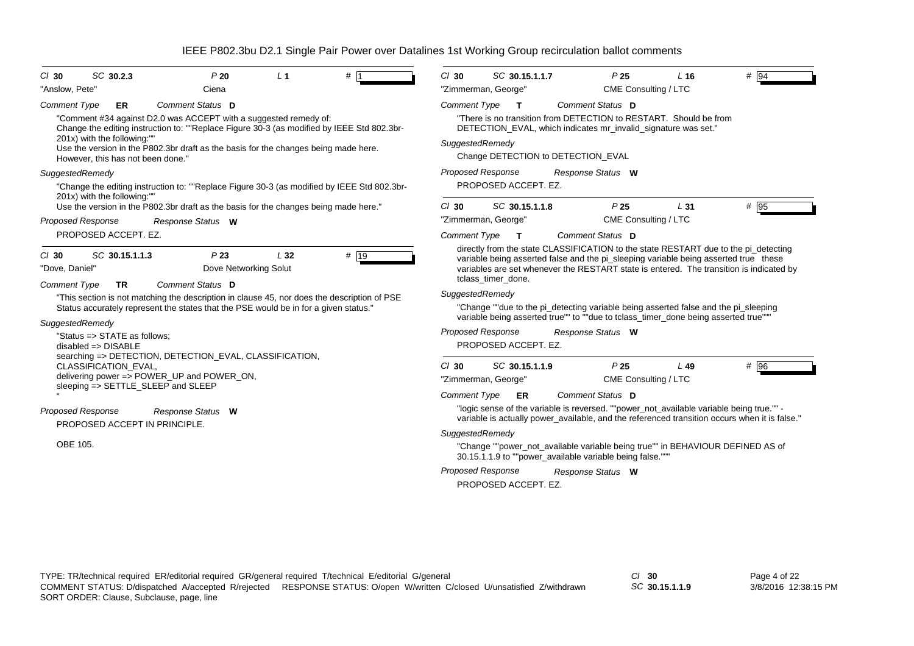| SC 30.2.3<br>P20<br>L <sub>1</sub><br>$Cl$ 30<br>#1                                                                                                                                                                                                                                 | $Cl$ 30<br>SC 30.15.1.1.7<br>P <sub>25</sub><br>$#$ 94<br>L <sub>16</sub>                                                                                                                                                                                              |
|-------------------------------------------------------------------------------------------------------------------------------------------------------------------------------------------------------------------------------------------------------------------------------------|------------------------------------------------------------------------------------------------------------------------------------------------------------------------------------------------------------------------------------------------------------------------|
| "Anslow, Pete"<br>Ciena                                                                                                                                                                                                                                                             | CME Consulting / LTC<br>"Zimmerman, George"                                                                                                                                                                                                                            |
| Comment Status D<br><b>Comment Type</b><br><b>ER</b>                                                                                                                                                                                                                                | <b>Comment Type</b><br>Comment Status D<br>$\mathbf{T}$                                                                                                                                                                                                                |
| "Comment #34 against D2.0 was ACCEPT with a suggested remedy of:<br>Change the editing instruction to: ""Replace Figure 30-3 (as modified by IEEE Std 802.3br-<br>201x) with the following:"<br>Use the version in the P802.3br draft as the basis for the changes being made here. | "There is no transition from DETECTION to RESTART. Should be from<br>DETECTION_EVAL, which indicates mr_invalid_signature was set."<br>SuggestedRemedy                                                                                                                 |
| However, this has not been done."                                                                                                                                                                                                                                                   | Change DETECTION to DETECTION_EVAL                                                                                                                                                                                                                                     |
| SuggestedRemedy                                                                                                                                                                                                                                                                     | Proposed Response<br>Response Status W                                                                                                                                                                                                                                 |
| "Change the editing instruction to: ""Replace Figure 30-3 (as modified by IEEE Std 802.3br-                                                                                                                                                                                         | PROPOSED ACCEPT. EZ.                                                                                                                                                                                                                                                   |
| 201x) with the following:""<br>Use the version in the P802.3br draft as the basis for the changes being made here."                                                                                                                                                                 | P <sub>25</sub><br># 95<br>$Cl$ 30<br>SC 30.15.1.1.8<br>L31                                                                                                                                                                                                            |
| <b>Proposed Response</b><br>Response Status W                                                                                                                                                                                                                                       | "Zimmerman, George"<br>CME Consulting / LTC                                                                                                                                                                                                                            |
| PROPOSED ACCEPT. EZ.                                                                                                                                                                                                                                                                | Comment Type<br>Comment Status D<br>$\mathbf{T}$                                                                                                                                                                                                                       |
| P23<br>SC 30.15.1.1.3<br>L32<br># 19<br>$Cl$ 30<br>Dove Networking Solut<br>"Dove, Daniel"                                                                                                                                                                                          | directly from the state CLASSIFICATION to the state RESTART due to the pi_detecting<br>variable being asserted false and the pi_sleeping variable being asserted true these<br>variables are set whenever the RESTART state is entered. The transition is indicated by |
| <b>Comment Type</b><br>Comment Status D<br><b>TR</b>                                                                                                                                                                                                                                | tclass timer done.                                                                                                                                                                                                                                                     |
| "This section is not matching the description in clause 45, nor does the description of PSE<br>Status accurately represent the states that the PSE would be in for a given status."                                                                                                 | SuggestedRemedy<br>"Change ""due to the pi_detecting variable being asserted false and the pi_sleeping<br>variable being asserted true"" to ""due to tclass timer done being asserted true""                                                                           |
| SuggestedRemedy                                                                                                                                                                                                                                                                     | <b>Proposed Response</b>                                                                                                                                                                                                                                               |
| "Status => STATE as follows;<br>$disabeled \Rightarrow DISABLE$<br>searching => DETECTION, DETECTION_EVAL, CLASSIFICATION,                                                                                                                                                          | Response Status W<br>PROPOSED ACCEPT. EZ.                                                                                                                                                                                                                              |
| <b>CLASSIFICATION EVAL,</b><br>delivering power => POWER_UP and POWER_ON,<br>sleeping => SETTLE_SLEEP and SLEEP                                                                                                                                                                     | $Cl$ 30<br>SC 30.15.1.1.9<br>P <sub>25</sub><br># 96<br>L 49<br>CME Consulting / LTC<br>"Zimmerman, George"<br><b>Comment Type</b><br>Comment Status D<br>ER                                                                                                           |
| <b>Proposed Response</b><br>Response Status W<br>PROPOSED ACCEPT IN PRINCIPLE.                                                                                                                                                                                                      | "logic sense of the variable is reversed. ""power_not_available variable being true."" -<br>variable is actually power_available, and the referenced transition occurs when it is false."                                                                              |
| OBE 105.                                                                                                                                                                                                                                                                            | SuggestedRemedy<br>"Change ""power_not_available variable being true"" in BEHAVIOUR DEFINED AS of<br>30.15.1.1.9 to ""power available variable being false."""                                                                                                         |
|                                                                                                                                                                                                                                                                                     | <b>Proposed Response</b><br>Response Status W<br>PROPOSED ACCEPT. EZ.                                                                                                                                                                                                  |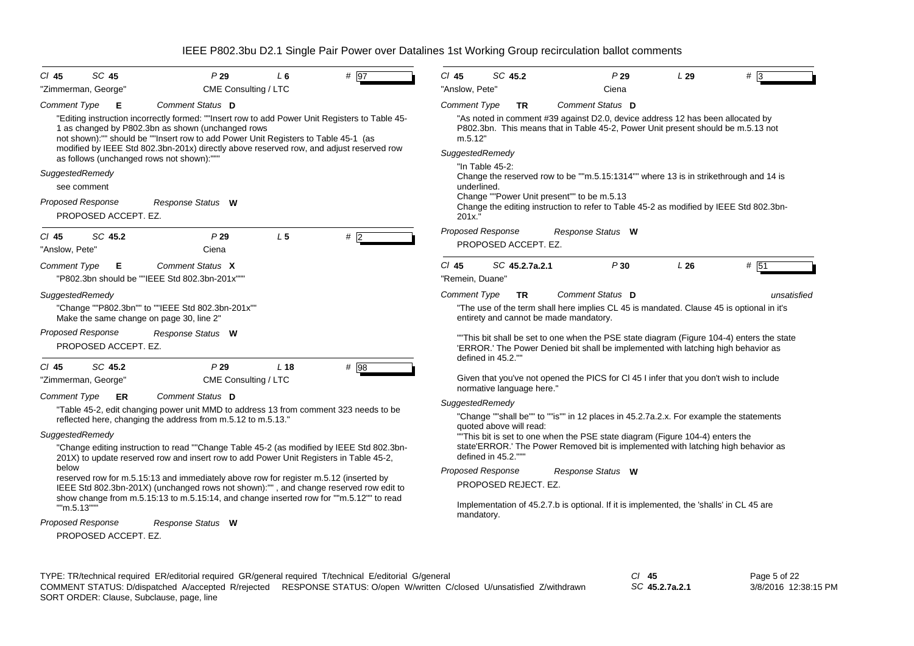| SC 45<br>P29<br># 97<br>CI 45<br>L <sub>6</sub>                                                                                                                                                                                                                                                                                                                                   | SC 45.2<br>$CI$ 45<br>P29<br>L29<br>#                                                                                                                                                                     |
|-----------------------------------------------------------------------------------------------------------------------------------------------------------------------------------------------------------------------------------------------------------------------------------------------------------------------------------------------------------------------------------|-----------------------------------------------------------------------------------------------------------------------------------------------------------------------------------------------------------|
| "Zimmerman, George"<br>CME Consulting / LTC                                                                                                                                                                                                                                                                                                                                       | "Anslow, Pete"<br>Ciena                                                                                                                                                                                   |
| Comment Status D<br>Comment Type<br>Е                                                                                                                                                                                                                                                                                                                                             | Comment Status D<br><b>Comment Type</b><br><b>TR</b>                                                                                                                                                      |
| "Editing instruction incorrectly formed: ""Insert row to add Power Unit Registers to Table 45-<br>1 as changed by P802.3bn as shown (unchanged rows<br>not shown):"" should be ""Insert row to add Power Unit Registers to Table 45-1 (as<br>modified by IEEE Std 802.3bn-201x) directly above reserved row, and adjust reserved row<br>as follows (unchanged rows not shown):""" | "As noted in comment #39 against D2.0, device address 12 has been allocated by<br>P802.3bn. This means that in Table 45-2, Power Unit present should be m.5.13 not<br>m.5.12"<br>SuggestedRemedy          |
| SuggestedRemedy                                                                                                                                                                                                                                                                                                                                                                   | "In Table 45-2:<br>Change the reserved row to be ""m.5.15:1314"" where 13 is in strikethrough and 14 is                                                                                                   |
| see comment                                                                                                                                                                                                                                                                                                                                                                       | underlined.                                                                                                                                                                                               |
| <b>Proposed Response</b><br>Response Status W<br>PROPOSED ACCEPT. EZ.                                                                                                                                                                                                                                                                                                             | Change ""Power Unit present"" to be m.5.13<br>Change the editing instruction to refer to Table 45-2 as modified by IEEE Std 802.3bn-<br>201x."                                                            |
| L <sub>5</sub><br>#2<br>SC 45.2<br>P29<br>$CI$ 45<br>Ciena<br>"Anslow, Pete"                                                                                                                                                                                                                                                                                                      | <b>Proposed Response</b><br>Response Status W<br>PROPOSED ACCEPT. EZ.                                                                                                                                     |
| Comment Status X<br><b>Comment Type</b><br>Е<br>"P802.3bn should be ""IEEE Std 802.3bn-201x"""                                                                                                                                                                                                                                                                                    | P30<br>L26<br># 51<br>$CI$ 45<br>SC 45.2.7a.2.1<br>"Remein, Duane"                                                                                                                                        |
| SuggestedRemedy<br>"Change ""P802.3bn"" to ""IEEE Std 802.3bn-201x""<br>Make the same change on page 30, line 2"                                                                                                                                                                                                                                                                  | Comment Status D<br><b>Comment Type</b><br>unsatisfied<br><b>TR</b><br>"The use of the term shall here implies CL 45 is mandated. Clause 45 is optional in it's<br>entirety and cannot be made mandatory. |
| <b>Proposed Response</b><br>Response Status W<br>PROPOSED ACCEPT. EZ.                                                                                                                                                                                                                                                                                                             | "This bit shall be set to one when the PSE state diagram (Figure 104-4) enters the state<br>'ERROR.' The Power Denied bit shall be implemented with latching high behavior as<br>defined in 45.2.""       |
| SC 45.2<br>$CI$ 45<br>P29<br>L <sub>18</sub><br>$#$ 98                                                                                                                                                                                                                                                                                                                            |                                                                                                                                                                                                           |
| "Zimmerman, George"<br>CME Consulting / LTC                                                                                                                                                                                                                                                                                                                                       | Given that you've not opened the PICS for CI 45 I infer that you don't wish to include<br>normative language here."                                                                                       |
| Comment Status D<br><b>Comment Type</b><br><b>ER</b>                                                                                                                                                                                                                                                                                                                              | SuggestedRemedy                                                                                                                                                                                           |
| "Table 45-2, edit changing power unit MMD to address 13 from comment 323 needs to be<br>reflected here, changing the address from m.5.12 to m.5.13."                                                                                                                                                                                                                              | "Change ""shall be"" to ""is"" in 12 places in 45.2.7a.2.x. For example the statements<br>quoted above will read:                                                                                         |
| SuggestedRemedy                                                                                                                                                                                                                                                                                                                                                                   | "This bit is set to one when the PSE state diagram (Figure 104-4) enters the                                                                                                                              |
| "Change editing instruction to read ""Change Table 45-2 (as modified by IEEE Std 802.3bn-<br>201X) to update reserved row and insert row to add Power Unit Registers in Table 45-2,                                                                                                                                                                                               | state'ERROR.' The Power Removed bit is implemented with latching high behavior as<br>defined in 45.2."""                                                                                                  |
| below<br>reserved row for m.5.15:13 and immediately above row for register m.5.12 (inserted by                                                                                                                                                                                                                                                                                    | <b>Proposed Response</b><br>Response Status W                                                                                                                                                             |
| IEEE Std 802.3bn-201X) (unchanged rows not shown):"", and change reserved row edit to                                                                                                                                                                                                                                                                                             | PROPOSED REJECT. EZ.                                                                                                                                                                                      |
| show change from m.5.15:13 to m.5.15:14, and change inserted row for ""m.5.12"" to read<br>""m.5.13"""                                                                                                                                                                                                                                                                            | Implementation of 45.2.7.b is optional. If it is implemented, the 'shalls' in CL 45 are<br>mandatory.                                                                                                     |
| <b>Proposed Response</b><br>Response Status W                                                                                                                                                                                                                                                                                                                                     |                                                                                                                                                                                                           |
| PROPOSED ACCEPT. EZ.                                                                                                                                                                                                                                                                                                                                                              |                                                                                                                                                                                                           |

*SC* **45.2.7a.2.1**

Page 5 of 22 3/8/2016 12:38:15 PM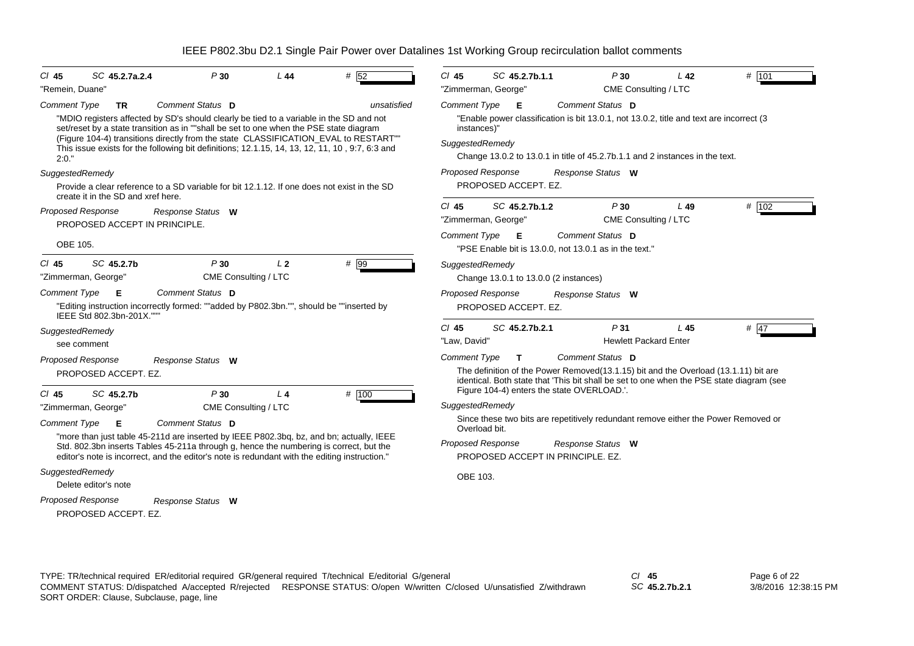| SC 45.2.7a.2.4<br>CI 45                                               | P30                                                                                                                                                                                                                                                                                                                                                                                            | L44            | # 52        | $CI$ 45                                                                                                                                                                                                                                           | SC 45.2.7b.1.1                                                                  |                   | P30                                             | L <sub>42</sub>                                                                                                                                                         | # 101                                                                              |
|-----------------------------------------------------------------------|------------------------------------------------------------------------------------------------------------------------------------------------------------------------------------------------------------------------------------------------------------------------------------------------------------------------------------------------------------------------------------------------|----------------|-------------|---------------------------------------------------------------------------------------------------------------------------------------------------------------------------------------------------------------------------------------------------|---------------------------------------------------------------------------------|-------------------|-------------------------------------------------|-------------------------------------------------------------------------------------------------------------------------------------------------------------------------|------------------------------------------------------------------------------------|
| "Remein, Duane"                                                       |                                                                                                                                                                                                                                                                                                                                                                                                |                |             | "Zimmerman, George"                                                                                                                                                                                                                               |                                                                                 |                   | CME Consulting / LTC                            |                                                                                                                                                                         |                                                                                    |
| <b>Comment Type</b><br><b>TR</b><br>2:0."                             | Comment Status D<br>"MDIO registers affected by SD's should clearly be tied to a variable in the SD and not<br>set/reset by a state transition as in ""shall be set to one when the PSE state diagram<br>(Figure 104-4) transitions directly from the state CLASSIFICATION_EVAL to RESTART""<br>This issue exists for the following bit definitions; 12.1.15, 14, 13, 12, 11, 10, 9:7, 6:3 and |                | unsatisfied | <b>Comment Type</b><br>instances)"<br>SuggestedRemedy                                                                                                                                                                                             | - E                                                                             | Comment Status D  |                                                 | "Enable power classification is bit 13.0.1, not 13.0.2, title and text are incorrect (3<br>Change 13.0.2 to 13.0.1 in title of 45.2.7b.1.1 and 2 instances in the text. |                                                                                    |
| SuggestedRemedy<br>create it in the SD and xref here.                 | Provide a clear reference to a SD variable for bit 12.1.12. If one does not exist in the SD                                                                                                                                                                                                                                                                                                    |                |             | <b>Proposed Response</b>                                                                                                                                                                                                                          | PROPOSED ACCEPT. EZ.                                                            | Response Status W |                                                 |                                                                                                                                                                         |                                                                                    |
| <b>Proposed Response</b><br>PROPOSED ACCEPT IN PRINCIPLE.<br>OBE 105. | Response Status W                                                                                                                                                                                                                                                                                                                                                                              |                |             | $Cl$ 45<br>"Zimmerman, George"<br><b>Comment Type</b>                                                                                                                                                                                             | SC 45.2.7b.1.2<br>- E<br>"PSE Enable bit is 13.0.0, not 13.0.1 as in the text." | Comment Status D  | P30<br>CME Consulting / LTC                     | L49                                                                                                                                                                     | # 102                                                                              |
| SC 45.2.7b<br>$CI$ 45<br>"Zimmerman, George"                          | P30<br>CME Consulting / LTC                                                                                                                                                                                                                                                                                                                                                                    | L <sub>2</sub> | $#$ 99      | SuggestedRemedy                                                                                                                                                                                                                                   | Change 13.0.1 to 13.0.0 (2 instances)                                           |                   |                                                 |                                                                                                                                                                         |                                                                                    |
| <b>Comment Type</b><br>Е<br>IEEE Std 802.3bn-201X."""                 | Comment Status D<br>"Editing instruction incorrectly formed: ""added by P802.3bn."", should be ""inserted by                                                                                                                                                                                                                                                                                   |                |             | <b>Proposed Response</b>                                                                                                                                                                                                                          | PROPOSED ACCEPT. EZ.                                                            | Response Status W |                                                 |                                                                                                                                                                         |                                                                                    |
| SuggestedRemedy<br>see comment<br><b>Proposed Response</b>            | Response Status W                                                                                                                                                                                                                                                                                                                                                                              |                |             | $Cl$ 45<br>"Law, David"<br><b>Comment Type</b>                                                                                                                                                                                                    | SC 45.2.7b.2.1<br>$\mathbf{T}$                                                  | Comment Status D  | P <sub>31</sub><br><b>Hewlett Packard Enter</b> | L45                                                                                                                                                                     | # 47                                                                               |
| PROPOSED ACCEPT. EZ.<br>SC 45.2.7b<br>CI 45<br>"Zimmerman, George"    | P30<br>CME Consulting / LTC                                                                                                                                                                                                                                                                                                                                                                    | L <sub>4</sub> | # 100       | The definition of the Power Removed (13.1.15) bit and the Overload (13.1.11) bit are<br>identical. Both state that 'This bit shall be set to one when the PSE state diagram (see<br>Figure 104-4) enters the state OVERLOAD.'.<br>SuggestedRemedy |                                                                                 |                   |                                                 |                                                                                                                                                                         |                                                                                    |
| <b>Comment Type</b><br>Е                                              | Comment Status D<br>"more than just table 45-211d are inserted by IEEE P802.3bq, bz, and bn; actually, IEEE<br>Std. 802.3bn inserts Tables 45-211a through g, hence the numbering is correct, but the<br>editor's note is incorrect, and the editor's note is redundant with the editing instruction."                                                                                         |                |             | Overload bit.<br><b>Proposed Response</b>                                                                                                                                                                                                         | PROPOSED ACCEPT IN PRINCIPLE, EZ.                                               | Response Status W |                                                 |                                                                                                                                                                         | Since these two bits are repetitively redundant remove either the Power Removed or |
| SuggestedRemedy<br>Delete editor's note                               |                                                                                                                                                                                                                                                                                                                                                                                                |                |             | OBE 103.                                                                                                                                                                                                                                          |                                                                                 |                   |                                                 |                                                                                                                                                                         |                                                                                    |
| <b>Proposed Response</b><br>PROPOSED ACCEPT. EZ.                      | Response Status W                                                                                                                                                                                                                                                                                                                                                                              |                |             |                                                                                                                                                                                                                                                   |                                                                                 |                   |                                                 |                                                                                                                                                                         |                                                                                    |

*SC* **45.2.7b.2.1**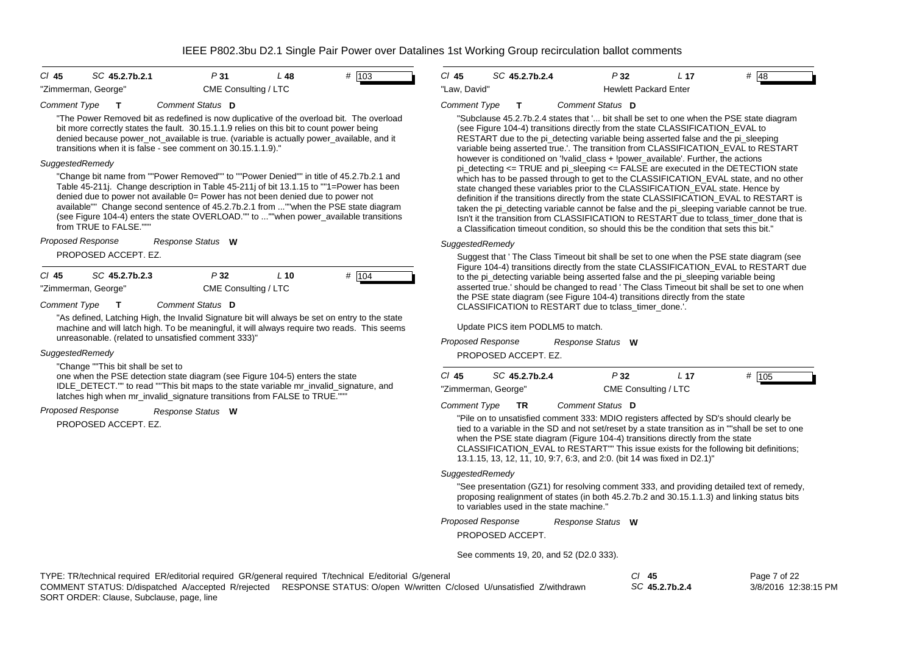| $CI$ 45             | SC 45.2.7b.2.1 | P 31                 | L 48 | # 103 |
|---------------------|----------------|----------------------|------|-------|
| "Zimmerman, George" |                | CME Consulting / LTC |      |       |

#### *Comment Type* **T** *Comment Status* **D**

"The Power Removed bit as redefined is now duplicative of the overload bit. The overload bit more correctly states the fault. 30.15.1.1.9 relies on this bit to count power being denied because power not available is true. (variable is actually power available, and it transitions when it is false - see comment on 30.15.1.1.9)."

### *SuggestedRemedy*

"Change bit name from ""Power Removed"" to ""Power Denied"" in title of 45.2.7b.2.1 and Table 45-211j. Change description in Table 45-211j of bit 13.1.15 to ""1=Power has been denied due to power not available 0= Power has not been denied due to power not available"" Change second sentence of 45.2.7b.2.1 from ...""when the PSE state diagram (see Figure 104-4) enters the state OVERLOAD."" to ...""when power\_available transitions from TRUE to FALSE.""

*Response Status* **W** *Proposed Response*

PROPOSED ACCEPT. EZ.

| CI 45               | SC 45.2.7b.2.3 | P32                  | L 10 | # 104 |
|---------------------|----------------|----------------------|------|-------|
| "Zimmerman, George" |                | CME Consulting / LTC |      |       |

*Comment Type* **T** *Comment Status* **D**

"As defined, Latching High, the Invalid Signature bit will always be set on entry to the state machine and will latch high. To be meaningful, it will always require two reads. This seems unreasonable. (related to unsatisfied comment 333)"

### *SuggestedRemedy*

"Change ""This bit shall be set to

one when the PSE detection state diagram (see Figure 104-5) enters the state IDLE\_DETECT."" to read ""This bit maps to the state variable mr\_invalid\_signature, and latches high when mr\_invalid\_signature transitions from FALSE to TRUE."""

#### *Response Status* **W** *Proposed Response*

PROPOSED ACCEPT. EZ.

| CI 45        | SC 45.2.7b.2.4 | P 32                         | -17 | #<br>48 |
|--------------|----------------|------------------------------|-----|---------|
| "Law. David" |                | <b>Hewlett Packard Enter</b> |     |         |

#### *Comment Type* **T** *Comment Status* **D**

"Subclause 45.2.7b.2.4 states that '... bit shall be set to one when the PSE state diagram (see Figure 104-4) transitions directly from the state CLASSIFICATION\_EVAL to RESTART due to the pi\_detecting variable being asserted false and the pi\_sleeping variable being asserted true.'. The transition from CLASSIFICATION\_EVAL to RESTART however is conditioned on '!valid\_class + !power\_available'. Further, the actions pi\_detecting  $\leq$  TRUE and pi\_sleeping  $\leq$  FALSE are executed in the DETECTION state which has to be passed through to get to the CLASSIFICATION\_EVAL state, and no other state changed these variables prior to the CLASSIFICATION\_EVAL state. Hence by definition if the transitions directly from the state CLASSIFICATION\_EVAL to RESTART is taken the pi\_detecting variable cannot be false and the pi\_sleeping variable cannot be true. Isn't it the transition from CLASSIFICATION to RESTART due to tclass\_timer\_done that is a Classification timeout condition, so should this be the condition that sets this bit."

### *SuggestedRemedy*

Suggest that ' The Class Timeout bit shall be set to one when the PSE state diagram (see Figure 104-4) transitions directly from the state CLASSIFICATION\_EVAL to RESTART due to the pi\_detecting variable being asserted false and the pi\_sleeping variable being asserted true.' should be changed to read ' The Class Timeout bit shall be set to one when the PSE state diagram (see Figure 104-4) transitions directly from the state CLASSIFICATION to RESTART due to tclass\_timer\_done.'.

Update PICS item PODLM5 to match.

| Proposed Response | Response Status W |  |
|-------------------|-------------------|--|
|-------------------|-------------------|--|

PROPOSED ACCEPT. EZ.

| $CI$ 45             | SC 45.2.7b.2.4 | P 32                 | L 17 | # 105 |
|---------------------|----------------|----------------------|------|-------|
| "Zimmerman, George" |                | CME Consulting / LTC |      |       |

*Comment Type* **TR** *Comment Status* **D**

"Pile on to unsatisfied comment 333: MDIO registers affected by SD's should clearly be tied to a variable in the SD and not set/reset by a state transition as in ""shall be set to one when the PSE state diagram (Figure 104-4) transitions directly from the state CLASSIFICATION\_EVAL to RESTART"" This issue exists for the following bit definitions; 13.1.15, 13, 12, 11, 10, 9:7, 6:3, and 2:0. (bit 14 was fixed in D2.1)"

### *SuggestedRemedy*

"See presentation (GZ1) for resolving comment 333, and providing detailed text of remedy, proposing realignment of states (in both 45.2.7b.2 and 30.15.1.1.3) and linking status bits to variables used in the state machine."

*Response Status* **W** *Proposed Response*

PROPOSED ACCEPT.

See comments 19, 20, and 52 (D2.0 333).

| TYPE: TR/technical required ER/editorial required GR/general required T/technical E/editorial G/general |                                                                                                                         | $CI$ 45        | Page 7 of 22         |
|---------------------------------------------------------------------------------------------------------|-------------------------------------------------------------------------------------------------------------------------|----------------|----------------------|
|                                                                                                         | COMMENT STATUS: D/dispatched A/accepted R/rejected RESPONSE STATUS: O/open W/written C/closed U/unsatisfied Z/withdrawn | SC 45.2.7b.2.4 | 3/8/2016 12:38:15 PM |
| ------------                                                                                            |                                                                                                                         |                |                      |

SORT ORDER: Clause, Subclause, page, line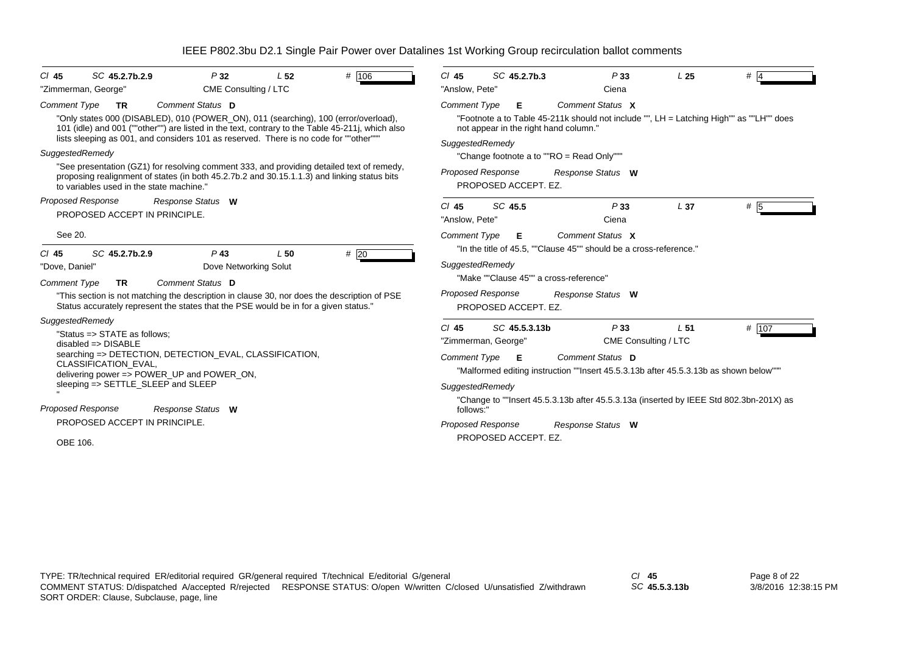| # 106<br>SC 45.2.7b.2.9<br>$CI$ 45<br>P32<br>L <sub>52</sub><br>CME Consulting / LTC<br>"Zimmerman, George"                                                                                                                                                                                                                                 | SC 45.2.7b.3<br>$Cl$ 45<br>L <sub>25</sub><br>$#$ 4<br>P33<br>"Anslow, Pete"<br>Ciena                                                                                                                                                                                   |
|---------------------------------------------------------------------------------------------------------------------------------------------------------------------------------------------------------------------------------------------------------------------------------------------------------------------------------------------|-------------------------------------------------------------------------------------------------------------------------------------------------------------------------------------------------------------------------------------------------------------------------|
| <b>Comment Type</b><br>Comment Status D<br><b>TR</b><br>"Only states 000 (DISABLED), 010 (POWER_ON), 011 (searching), 100 (error/overload),<br>101 (idle) and 001 (""other"") are listed in the text, contrary to the Table 45-211, which also<br>lists sleeping as 001, and considers 101 as reserved. There is no code for ""other""      | <b>Comment Type</b><br>Comment Status X<br>Е<br>"Footnote a to Table 45-211k should not include "", LH = Latching High"" as ""LH"" does<br>not appear in the right hand column."<br>SuggestedRemedy                                                                     |
| SuggestedRemedy<br>"See presentation (GZ1) for resolving comment 333, and providing detailed text of remedy,<br>proposing realignment of states (in both 45.2.7b.2 and 30.15.1.1.3) and linking status bits<br>to variables used in the state machine."                                                                                     | "Change footnote a to ""RO = Read Only"""<br><b>Proposed Response</b><br>Response Status W<br>PROPOSED ACCEPT. EZ.                                                                                                                                                      |
| <b>Proposed Response</b><br>Response Status W<br>PROPOSED ACCEPT IN PRINCIPLE.                                                                                                                                                                                                                                                              | SC 45.5<br>$Cl$ 45<br>P33<br>L <sub>37</sub><br># 5<br>"Anslow, Pete"<br>Ciena                                                                                                                                                                                          |
| See 20.                                                                                                                                                                                                                                                                                                                                     | <b>Comment Type</b><br>Comment Status X<br>Е                                                                                                                                                                                                                            |
| SC 45.2.7b.2.9<br>$P$ 43<br>#20<br>$CI$ 45<br>L50<br>"Dove, Daniel"<br>Dove Networking Solut<br><b>Comment Type</b><br>Comment Status D<br><b>TR</b><br>"This section is not matching the description in clause 30, nor does the description of PSE<br>Status accurately represent the states that the PSE would be in for a given status." | "In the title of 45.5, ""Clause 45"" should be a cross-reference."<br>SuggestedRemedy<br>"Make ""Clause 45"" a cross-reference"<br><b>Proposed Response</b><br>Response Status W<br>PROPOSED ACCEPT. EZ.                                                                |
| SuggestedRemedy<br>"Status => STATE as follows;<br>$disabeled \Rightarrow DISABLE$<br>searching => DETECTION, DETECTION_EVAL, CLASSIFICATION,<br><b>CLASSIFICATION EVAL.</b><br>delivering power => POWER_UP and POWER_ON,<br>sleeping => SETTLE_SLEEP and SLEEP                                                                            | $Cl$ 45<br>SC 45.5.3.13b<br>P33<br># $107$<br>L <sub>51</sub><br>"Zimmerman, George"<br>CME Consulting / LTC<br>Comment Status D<br><b>Comment Type</b><br>E<br>"Malformed editing instruction ""Insert 45.5.3.13b after 45.5.3.13b as shown below""<br>SuggestedRemedy |
| <b>Proposed Response</b><br>Response Status W<br>PROPOSED ACCEPT IN PRINCIPLE.                                                                                                                                                                                                                                                              | "Change to ""Insert 45.5.3.13b after 45.5.3.13a (inserted by IEEE Std 802.3bn-201X) as<br>follows:"<br><b>Proposed Response</b><br>Response Status W                                                                                                                    |
| OBE 106.                                                                                                                                                                                                                                                                                                                                    | PROPOSED ACCEPT. EZ.                                                                                                                                                                                                                                                    |

*SC* **45.5.3.13b**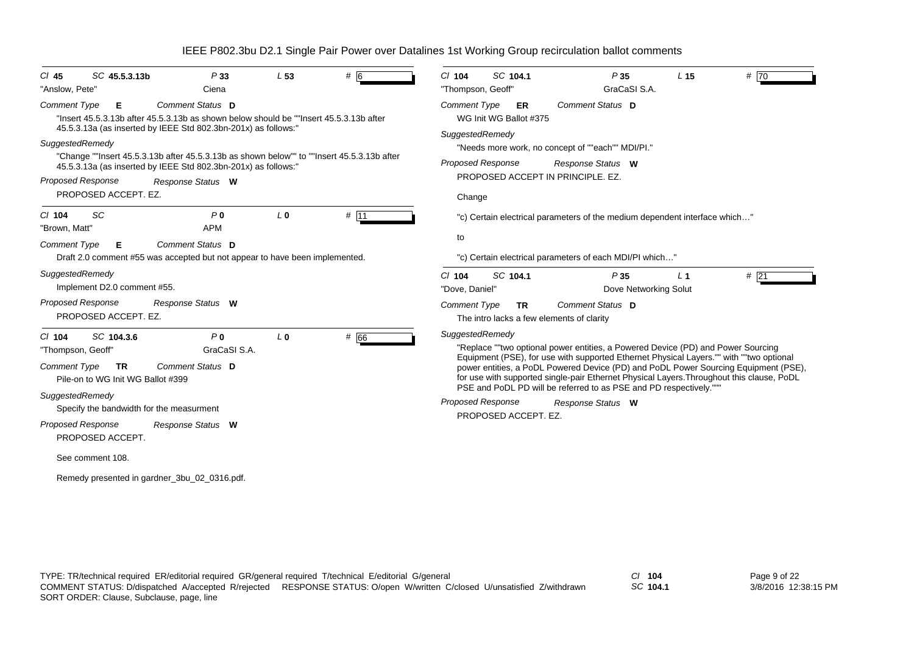| SC 45.5.3.13b<br>$CI$ 45<br>"Anslow, Pete"                                                                                                                                           | P33<br>Ciena                   | L <sub>53</sub> | # 6           | SC 104.1<br>$Cl$ 104<br>"Thompson, Geoff"                                        | P35<br>GraCaSI S.A.                                                                                                                                                                                                                                   | L <sub>15</sub> | $#$ 70 |
|--------------------------------------------------------------------------------------------------------------------------------------------------------------------------------------|--------------------------------|-----------------|---------------|----------------------------------------------------------------------------------|-------------------------------------------------------------------------------------------------------------------------------------------------------------------------------------------------------------------------------------------------------|-----------------|--------|
| <b>Comment Type</b><br>Е<br>"Insert 45.5.3.13b after 45.5.3.13b as shown below should be ""Insert 45.5.3.13b after<br>45.5.3.13a (as inserted by IEEE Std 802.3bn-201x) as follows:" | Comment Status D               |                 |               | <b>Comment Type</b><br>ER<br>WG Init WG Ballot #375                              | Comment Status D                                                                                                                                                                                                                                      |                 |        |
| SuggestedRemedy<br>"Change ""Insert 45.5.3.13b after 45.5.3.13b as shown below"" to ""Insert 45.5.3.13b after<br>45.5.3.13a (as inserted by IEEE Std 802.3bn-201x) as follows:"      |                                |                 |               | SuggestedRemedy<br><b>Proposed Response</b><br>PROPOSED ACCEPT IN PRINCIPLE, EZ. | "Needs more work, no concept of ""each"" MDI/PI."<br>Response Status W                                                                                                                                                                                |                 |        |
| <b>Proposed Response</b><br>PROPOSED ACCEPT. EZ.                                                                                                                                     | Response Status W              |                 |               | Change                                                                           |                                                                                                                                                                                                                                                       |                 |        |
| <b>SC</b><br>$Cl$ 104<br>"Brown, Matt"                                                                                                                                               | P <sub>0</sub><br><b>APM</b>   | L <sub>0</sub>  | $# \sqrt{11}$ |                                                                                  | "c) Certain electrical parameters of the medium dependent interface which"                                                                                                                                                                            |                 |        |
| <b>Comment Type</b><br>Е<br>Draft 2.0 comment #55 was accepted but not appear to have been implemented.                                                                              | Comment Status D               |                 |               | to                                                                               | "c) Certain electrical parameters of each MDI/PI which"                                                                                                                                                                                               |                 |        |
| SuggestedRemedy<br>Implement D2.0 comment #55.                                                                                                                                       |                                |                 |               | SC 104.1<br>$Cl$ 104<br>"Dove, Daniel"                                           | P35<br>Dove Networking Solut                                                                                                                                                                                                                          | L <sub>1</sub>  | #21    |
| <b>Proposed Response</b><br>PROPOSED ACCEPT. EZ.                                                                                                                                     | Response Status W              |                 |               | <b>Comment Type</b><br><b>TR</b><br>The intro lacks a few elements of clarity    | Comment Status D                                                                                                                                                                                                                                      |                 |        |
| SC 104.3.6<br>$Cl$ 104<br>"Thompson, Geoff"                                                                                                                                          | P <sub>0</sub><br>GraCaSI S.A. | L <sub>0</sub>  | # 66          | SuggestedRemedy                                                                  | "Replace ""two optional power entities, a Powered Device (PD) and Power Sourcing<br>Equipment (PSE), for use with supported Ethernet Physical Layers."" with ""two optional                                                                           |                 |        |
| Comment Type<br><b>TR</b><br>Pile-on to WG Init WG Ballot #399                                                                                                                       | Comment Status D               |                 |               |                                                                                  | power entities, a PoDL Powered Device (PD) and PoDL Power Sourcing Equipment (PSE),<br>for use with supported single-pair Ethernet Physical Layers. Throughout this clause, PoDL<br>PSE and PoDL PD will be referred to as PSE and PD respectively."" |                 |        |
| SuggestedRemedy<br>Specify the bandwidth for the measurment                                                                                                                          |                                |                 |               | <b>Proposed Response</b><br>PROPOSED ACCEPT. EZ.                                 | Response Status W                                                                                                                                                                                                                                     |                 |        |
| <b>Proposed Response</b><br>PROPOSED ACCEPT.                                                                                                                                         | Response Status W              |                 |               |                                                                                  |                                                                                                                                                                                                                                                       |                 |        |
| See comment 108.                                                                                                                                                                     |                                |                 |               |                                                                                  |                                                                                                                                                                                                                                                       |                 |        |
| Remedy presented in gardner_3bu_02_0316.pdf.                                                                                                                                         |                                |                 |               |                                                                                  |                                                                                                                                                                                                                                                       |                 |        |

*SC* **104.1**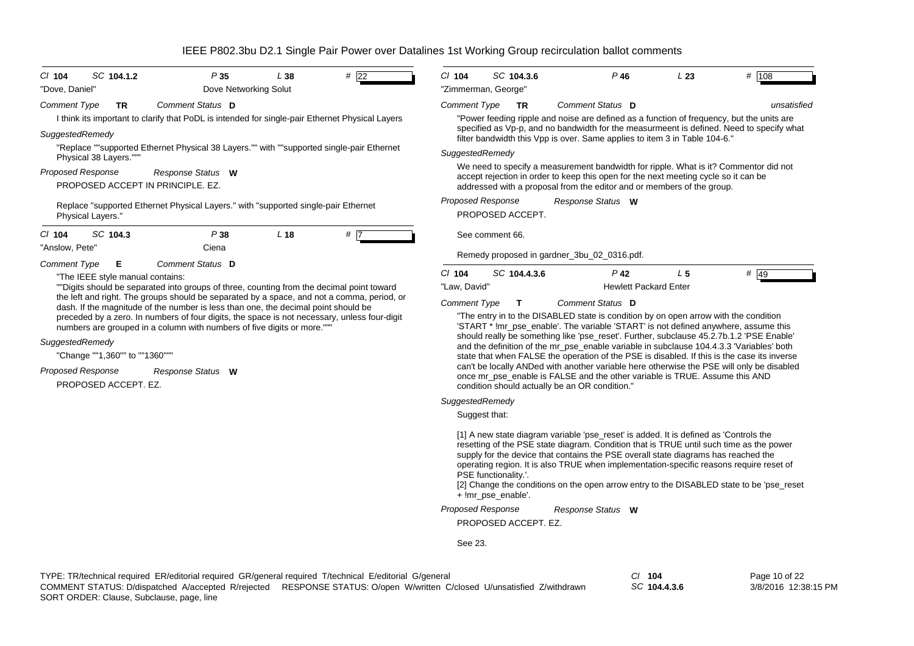| $Cl$ 104<br>SC 104.1.2<br>"Dove, Daniel"                                                                                                                                                                                                                                                                                                                                                                                                                                                                                                                                                                                  | P35<br>Dove Networking Solut          | L38             | # 22 | $Cl$ 104                                        | SC 104.3.6<br>"Zimmerman, George"     | $P$ 46                                                                                                                                                                                                                                                                                                                                                                                                                                                                                                                                                                                                                                                                                                                                                         | L23            | # 108       |
|---------------------------------------------------------------------------------------------------------------------------------------------------------------------------------------------------------------------------------------------------------------------------------------------------------------------------------------------------------------------------------------------------------------------------------------------------------------------------------------------------------------------------------------------------------------------------------------------------------------------------|---------------------------------------|-----------------|------|-------------------------------------------------|---------------------------------------|----------------------------------------------------------------------------------------------------------------------------------------------------------------------------------------------------------------------------------------------------------------------------------------------------------------------------------------------------------------------------------------------------------------------------------------------------------------------------------------------------------------------------------------------------------------------------------------------------------------------------------------------------------------------------------------------------------------------------------------------------------------|----------------|-------------|
| <b>Comment Type</b><br><b>TR</b><br>I think its important to clarify that PoDL is intended for single-pair Ethernet Physical Layers<br>SuggestedRemedy<br>"Replace ""supported Ethernet Physical 38 Layers."" with ""supported single-pair Ethernet                                                                                                                                                                                                                                                                                                                                                                       | Comment Status D                      |                 |      | <b>Comment Type</b><br>SuggestedRemedy          | <b>TR</b>                             | Comment Status D<br>"Power feeding ripple and noise are defined as a function of frequency, but the units are<br>specified as Vp-p, and no bandwidth for the measurmeent is defined. Need to specify what<br>filter bandwidth this Vpp is over. Same applies to item 3 in Table 104-6."                                                                                                                                                                                                                                                                                                                                                                                                                                                                        |                | unsatisfied |
| Physical 38 Layers.""<br>Proposed Response<br>PROPOSED ACCEPT IN PRINCIPLE, EZ.<br>Replace "supported Ethernet Physical Layers." with "supported single-pair Ethernet<br>Physical Layers."                                                                                                                                                                                                                                                                                                                                                                                                                                | Response Status W                     |                 |      |                                                 | Proposed Response<br>PROPOSED ACCEPT. | We need to specify a measurement bandwidth for ripple. What is it? Commentor did not<br>accept rejection in order to keep this open for the next meeting cycle so it can be<br>addressed with a proposal from the editor and or members of the group.<br>Response Status W                                                                                                                                                                                                                                                                                                                                                                                                                                                                                     |                |             |
| SC 104.3<br>$CI$ 104<br>"Anslow, Pete"                                                                                                                                                                                                                                                                                                                                                                                                                                                                                                                                                                                    | P38<br>Ciena                          | L <sub>18</sub> | # 7  |                                                 | See comment 66.                       | Remedy proposed in gardner_3bu_02_0316.pdf.                                                                                                                                                                                                                                                                                                                                                                                                                                                                                                                                                                                                                                                                                                                    |                |             |
| Comment Type<br>Е<br>"The IEEE style manual contains:<br>""Digits should be separated into groups of three, counting from the decimal point toward<br>the left and right. The groups should be separated by a space, and not a comma, period, or<br>dash. If the magnitude of the number is less than one, the decimal point should be<br>preceded by a zero. In numbers of four digits, the space is not necessary, unless four-digit<br>numbers are grouped in a column with numbers of five digits or more.""<br>SuggestedRemedy<br>"Change ""1,360"" to ""1360"""<br><b>Proposed Response</b><br>PROPOSED ACCEPT. EZ. | Comment Status D<br>Response Status W |                 |      | $Cl$ 104<br>"Law, David"<br><b>Comment Type</b> | SC 104.4.3.6                          | $P$ 42<br><b>Hewlett Packard Enter</b><br>Comment Status D<br>"The entry in to the DISABLED state is condition by on open arrow with the condition<br>'START * !mr_pse_enable'. The variable 'START' is not defined anywhere, assume this<br>should really be something like 'pse_reset'. Further, subclause 45.2.7b.1.2 'PSE Enable'<br>and the definition of the mr pse enable variable in subclause 104.4.3.3 "Variables' both<br>state that when FALSE the operation of the PSE is disabled. If this is the case its inverse<br>can't be locally ANDed with another variable here otherwise the PSE will only be disabled<br>once mr_pse_enable is FALSE and the other variable is TRUE. Assume this AND<br>condition should actually be an OR condition." | L <sub>5</sub> | # 49        |
|                                                                                                                                                                                                                                                                                                                                                                                                                                                                                                                                                                                                                           |                                       |                 |      | SuggestedRemedy                                 | Suggest that:                         |                                                                                                                                                                                                                                                                                                                                                                                                                                                                                                                                                                                                                                                                                                                                                                |                |             |
|                                                                                                                                                                                                                                                                                                                                                                                                                                                                                                                                                                                                                           |                                       |                 |      |                                                 |                                       | [1] A new state diagram variable 'pse_reset' is added. It is defined as 'Controls the<br>resetting of the PSE state diagram. Condition that is TRUE until such time as the power                                                                                                                                                                                                                                                                                                                                                                                                                                                                                                                                                                               |                |             |

resetting of the PSE state diagram. Condition that is TRUE until such time as the power supply for the device that contains the PSE overall state diagrams has reached the operating region. It is also TRUE when implementation-specific reasons require reset of PSE functionality.'.

[2] Change the conditions on the open arrow entry to the DISABLED state to be 'pse\_reset + !mr\_pse\_enable'.

*Response Status* **W** *Proposed Response*

PROPOSED ACCEPT. EZ.

See 23.

*SC* **104.4.3.6**

Page 10 of 22 3/8/2016 12:38:15 PM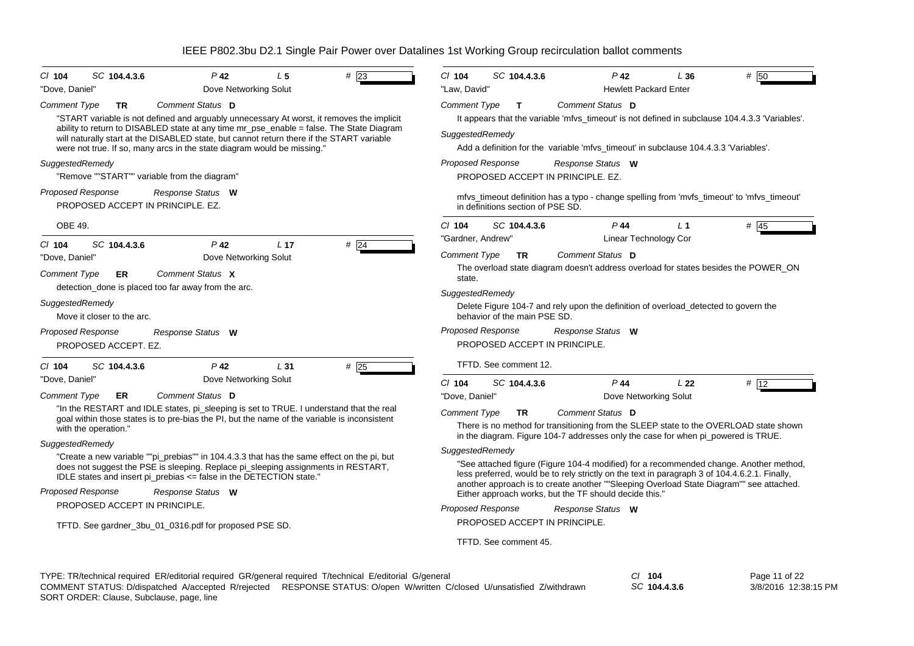| $P$ 42<br>SC 104.4.3.6<br>L <sub>5</sub><br># 23<br>$Cl$ 104<br>"Dove, Daniel"<br>Dove Networking Solut                                                                                                                                                                                                                                                                                                                                                                                                                                                                                                                                                                                   | $P$ 42<br># 50<br>$Cl$ 104<br>SC 104.4.3.6<br>L36<br>"Law, David"<br><b>Hewlett Packard Enter</b>                                                                                                                                                                                                                                                                                                                                                                                                                                                                                                                                                                                                                                                                                                                             |
|-------------------------------------------------------------------------------------------------------------------------------------------------------------------------------------------------------------------------------------------------------------------------------------------------------------------------------------------------------------------------------------------------------------------------------------------------------------------------------------------------------------------------------------------------------------------------------------------------------------------------------------------------------------------------------------------|-------------------------------------------------------------------------------------------------------------------------------------------------------------------------------------------------------------------------------------------------------------------------------------------------------------------------------------------------------------------------------------------------------------------------------------------------------------------------------------------------------------------------------------------------------------------------------------------------------------------------------------------------------------------------------------------------------------------------------------------------------------------------------------------------------------------------------|
| Comment Status D<br>Comment Type<br><b>TR</b><br>"START variable is not defined and arguably unnecessary At worst, it removes the implicit<br>ability to return to DISABLED state at any time mr_pse_enable = false. The State Diagram<br>will naturally start at the DISABLED state, but cannot return there if the START variable<br>were not true. If so, many arcs in the state diagram would be missing."<br>SuggestedRemedy<br>"Remove ""START"" variable from the diagram"<br><b>Proposed Response</b><br>Response Status W<br>PROPOSED ACCEPT IN PRINCIPLE, EZ.                                                                                                                   | Comment Status D<br>Comment Type<br>T<br>It appears that the variable 'mfvs_timeout' is not defined in subclause 104.4.3.3 'Variables'.<br>SuggestedRemedy<br>Add a definition for the variable 'mfvs_timeout' in subclause 104.4.3.3 'Variables'.<br><b>Proposed Response</b><br>Response Status W<br>PROPOSED ACCEPT IN PRINCIPLE, EZ.<br>mfvs_timeout definition has a typo - change spelling from 'mvfs_timeout' to 'mfvs_timeout'<br>in definitions section of PSE SD.                                                                                                                                                                                                                                                                                                                                                   |
| OBE 49.<br>SC 104.4.3.6<br>$P$ 42<br>L <sub>17</sub>                                                                                                                                                                                                                                                                                                                                                                                                                                                                                                                                                                                                                                      | $P$ 44<br># $45$<br>$Cl$ 104<br>SC 104.4.3.6<br>$L_1$<br>"Gardner, Andrew"<br>Linear Technology Cor                                                                                                                                                                                                                                                                                                                                                                                                                                                                                                                                                                                                                                                                                                                           |
| # $\overline{24}$<br>$CI$ 104<br>Dove Networking Solut<br>"Dove, Daniel"<br><b>Comment Type</b><br>Comment Status X<br>ER<br>detection_done is placed too far away from the arc.<br>SuggestedRemedy<br>Move it closer to the arc.<br><b>Proposed Response</b><br>Response Status W<br>PROPOSED ACCEPT. EZ.                                                                                                                                                                                                                                                                                                                                                                                | Comment Status D<br><b>Comment Type</b><br><b>TR</b><br>The overload state diagram doesn't address overload for states besides the POWER_ON<br>state.<br>SuggestedRemedy<br>Delete Figure 104-7 and rely upon the definition of overload_detected to govern the<br>behavior of the main PSE SD.<br><b>Proposed Response</b><br>Response Status W<br>PROPOSED ACCEPT IN PRINCIPLE.                                                                                                                                                                                                                                                                                                                                                                                                                                             |
| $P$ 42<br>$CI$ 104<br>SC 104.4.3.6<br>L31<br>$#$ 25<br>"Dove, Daniel"<br>Dove Networking Solut                                                                                                                                                                                                                                                                                                                                                                                                                                                                                                                                                                                            | TFTD. See comment 12.                                                                                                                                                                                                                                                                                                                                                                                                                                                                                                                                                                                                                                                                                                                                                                                                         |
| Comment Status D<br><b>Comment Type</b><br>ER<br>"In the RESTART and IDLE states, pi_sleeping is set to TRUE. I understand that the real<br>goal within those states is to pre-bias the PI, but the name of the variable is inconsistent<br>with the operation."<br>SuggestedRemedy<br>"Create a new variable ""pi_prebias"" in 104.4.3.3 that has the same effect on the pi, but<br>does not suggest the PSE is sleeping. Replace pi_sleeping assignments in RESTART,<br>IDLE states and insert pi_prebias <= false in the DETECTION state."<br><b>Proposed Response</b><br>Response Status W<br>PROPOSED ACCEPT IN PRINCIPLE.<br>TFTD. See gardner_3bu_01_0316.pdf for proposed PSE SD. | $P$ 44<br>$Cl$ 104<br>SC 104.4.3.6<br>L <sub>22</sub><br># 12<br>"Dove, Daniel"<br>Dove Networking Solut<br>Comment Status D<br><b>Comment Type</b><br><b>TR</b><br>There is no method for transitioning from the SLEEP state to the OVERLOAD state shown<br>in the diagram. Figure 104-7 addresses only the case for when pig powered is TRUE.<br>SuggestedRemedy<br>"See attached figure (Figure 104-4 modified) for a recommended change. Another method,<br>less preferred, would be to rely strictly on the text in paragraph 3 of 104.4.6.2.1. Finally,<br>another approach is to create another ""Sleeping Overload State Diagram"" see attached.<br>Either approach works, but the TF should decide this."<br><b>Proposed Response</b><br>Response Status W<br>PROPOSED ACCEPT IN PRINCIPLE.<br>TFTD. See comment 45. |

| TYPE: TR/technical required ER/editorial required GR/general required T/technical E/editorial G/general |                                                                                                                         | 104          | Page 11 of 22        |
|---------------------------------------------------------------------------------------------------------|-------------------------------------------------------------------------------------------------------------------------|--------------|----------------------|
|                                                                                                         | COMMENT STATUS: D/dispatched A/accepted R/rejected RESPONSE STATUS: O/open W/written C/closed U/unsatisfied Z/withdrawn | SC 104.4.3.6 | 3/8/2016 12:38:15 PM |
| SORT ORDER: Clause, Subclause, page, line                                                               |                                                                                                                         |              |                      |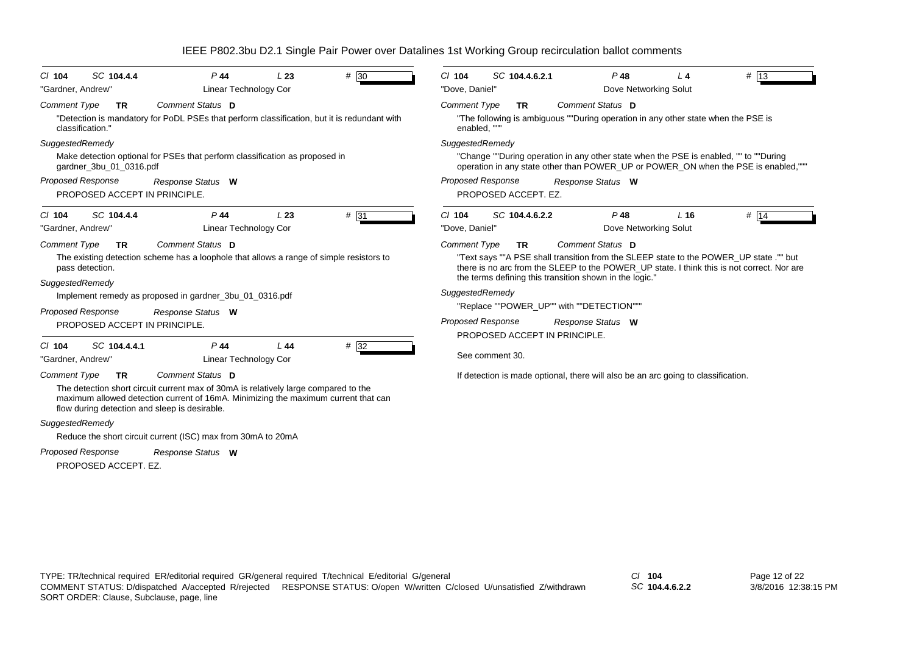| SC 104.4.4<br>$CI$ 104                                                                                                                                                                                                     | $P$ 44<br>L23                | # 30   | $Cl$ 104                 | SC 104.4.6.2.1                            | $P$ 48                                                                            | $L_4$           | $#$ 13                                                                                                                                                                               |
|----------------------------------------------------------------------------------------------------------------------------------------------------------------------------------------------------------------------------|------------------------------|--------|--------------------------|-------------------------------------------|-----------------------------------------------------------------------------------|-----------------|--------------------------------------------------------------------------------------------------------------------------------------------------------------------------------------|
| "Gardner, Andrew"                                                                                                                                                                                                          | <b>Linear Technology Cor</b> |        | "Dove, Daniel"           |                                           | Dove Networking Solut                                                             |                 |                                                                                                                                                                                      |
| <b>Comment Type</b><br>TR.                                                                                                                                                                                                 | Comment Status D             |        | <b>Comment Type</b>      | <b>TR</b>                                 | Comment Status D                                                                  |                 |                                                                                                                                                                                      |
| "Detection is mandatory for PoDL PSEs that perform classification, but it is redundant with<br>classification."                                                                                                            |                              |        | enabled, ""              |                                           | "The following is ambiguous ""During operation in any other state when the PSE is |                 |                                                                                                                                                                                      |
| SuggestedRemedy                                                                                                                                                                                                            |                              |        | SuggestedRemedy          |                                           |                                                                                   |                 |                                                                                                                                                                                      |
| Make detection optional for PSEs that perform classification as proposed in<br>gardner_3bu_01_0316.pdf                                                                                                                     |                              |        |                          |                                           |                                                                                   |                 | "Change ""During operation in any other state when the PSE is enabled, "" to ""During<br>operation in any state other than POWER_UP or POWER_ON when the PSE is enabled,"""          |
| <b>Proposed Response</b><br>PROPOSED ACCEPT IN PRINCIPLE.                                                                                                                                                                  | Response Status W            |        | <b>Proposed Response</b> | PROPOSED ACCEPT. EZ.                      | Response Status W                                                                 |                 |                                                                                                                                                                                      |
| SC 104.4.4<br>$CI$ 104                                                                                                                                                                                                     | $P$ 44<br>L23                | # 31   | $Cl$ 104                 | SC 104.4.6.2.2                            | $P$ 48                                                                            | L <sub>16</sub> | # $14$                                                                                                                                                                               |
| "Gardner, Andrew"                                                                                                                                                                                                          | <b>Linear Technology Cor</b> |        | "Dove, Daniel"           |                                           | Dove Networking Solut                                                             |                 |                                                                                                                                                                                      |
| <b>Comment Type</b><br><b>TR</b>                                                                                                                                                                                           | Comment Status D             |        | <b>Comment Type</b>      | <b>TR</b>                                 | Comment Status D                                                                  |                 |                                                                                                                                                                                      |
| The existing detection scheme has a loophole that allows a range of simple resistors to<br>pass detection.                                                                                                                 |                              |        |                          |                                           |                                                                                   |                 | "Text says ""A PSE shall transition from the SLEEP state to the POWER_UP state ."" but<br>there is no arc from the SLEEP to the POWER_UP state. I think this is not correct. Nor are |
| SuggestedRemedy                                                                                                                                                                                                            |                              |        |                          |                                           | the terms defining this transition shown in the logic."                           |                 |                                                                                                                                                                                      |
| Implement remedy as proposed in gardner_3bu_01_0316.pdf                                                                                                                                                                    |                              |        | SuggestedRemedy          |                                           |                                                                                   |                 |                                                                                                                                                                                      |
| <b>Proposed Response</b>                                                                                                                                                                                                   | Response Status W            |        |                          | "Replace ""POWER_UP"" with ""DETECTION""" |                                                                                   |                 |                                                                                                                                                                                      |
| PROPOSED ACCEPT IN PRINCIPLE.                                                                                                                                                                                              |                              |        | <b>Proposed Response</b> |                                           | Response Status W                                                                 |                 |                                                                                                                                                                                      |
| SC 104.4.4.1<br>$Cl$ 104                                                                                                                                                                                                   | $P$ 44<br>L44                | $#$ 32 |                          | PROPOSED ACCEPT IN PRINCIPLE.             |                                                                                   |                 |                                                                                                                                                                                      |
| "Gardner, Andrew"                                                                                                                                                                                                          | Linear Technology Cor        |        |                          | See comment 30.                           |                                                                                   |                 |                                                                                                                                                                                      |
| <b>Comment Type</b><br><b>TR</b>                                                                                                                                                                                           | Comment Status D             |        |                          |                                           | If detection is made optional, there will also be an arc going to classification. |                 |                                                                                                                                                                                      |
| The detection short circuit current max of 30mA is relatively large compared to the<br>maximum allowed detection current of 16mA. Minimizing the maximum current that can<br>flow during detection and sleep is desirable. |                              |        |                          |                                           |                                                                                   |                 |                                                                                                                                                                                      |
| SuggestedRemedy                                                                                                                                                                                                            |                              |        |                          |                                           |                                                                                   |                 |                                                                                                                                                                                      |
| Reduce the short circuit current (ISC) max from 30mA to 20mA                                                                                                                                                               |                              |        |                          |                                           |                                                                                   |                 |                                                                                                                                                                                      |
| <b>Proposed Response</b>                                                                                                                                                                                                   | Response Status W            |        |                          |                                           |                                                                                   |                 |                                                                                                                                                                                      |
| PROPOSED ACCEPT. EZ.                                                                                                                                                                                                       |                              |        |                          |                                           |                                                                                   |                 |                                                                                                                                                                                      |

*SC* **104.4.6.2.2**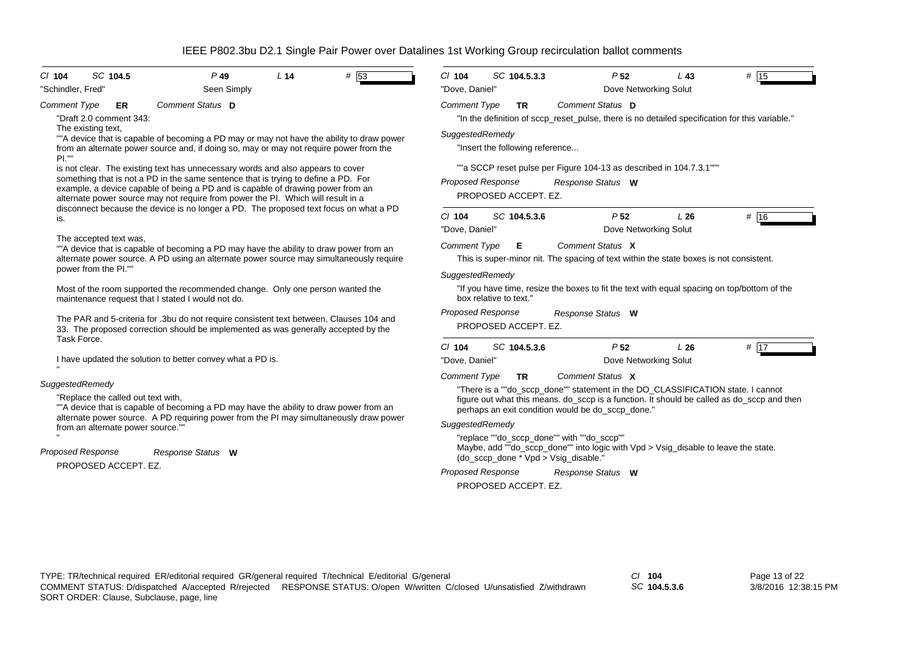| SC 104.5<br># 53<br>$P$ 49<br>L <sub>14</sub><br>$CI$ 104<br>Seen Simply<br>"Schindler, Fred"                                                                                                                                                                                                                                                | SC 104.5.3.3<br># 15<br>$Cl$ 104<br>P <sub>52</sub><br>$L$ 43<br>"Dove, Daniel"<br>Dove Networking Solut                                                                                                                                                                                                                                                                                                                                          |
|----------------------------------------------------------------------------------------------------------------------------------------------------------------------------------------------------------------------------------------------------------------------------------------------------------------------------------------------|---------------------------------------------------------------------------------------------------------------------------------------------------------------------------------------------------------------------------------------------------------------------------------------------------------------------------------------------------------------------------------------------------------------------------------------------------|
| Comment Status D<br>Comment Type<br><b>ER</b><br>"Draft 2.0 comment 343:                                                                                                                                                                                                                                                                     | Comment Status D<br><b>Comment Type</b><br><b>TR</b><br>"In the definition of sccp reset pulse, there is no detailed specification for this variable."                                                                                                                                                                                                                                                                                            |
| The existing text,<br>""A device that is capable of becoming a PD may or may not have the ability to draw power<br>from an alternate power source and, if doing so, may or may not require power from the<br>PL'''                                                                                                                           | SuggestedRemedy<br>"Insert the following reference                                                                                                                                                                                                                                                                                                                                                                                                |
| is not clear. The existing text has unnecessary words and also appears to cover<br>something that is not a PD in the same sentence that is trying to define a PD. For<br>example, a device capable of being a PD and is capable of drawing power from an<br>alternate power source may not require from power the PI. Which will result in a | ""a SCCP reset pulse per Figure 104-13 as described in 104.7.3.1""<br>Proposed Response<br>Response Status W<br>PROPOSED ACCEPT. EZ.                                                                                                                                                                                                                                                                                                              |
| disconnect because the device is no longer a PD. The proposed text focus on what a PD<br>is.                                                                                                                                                                                                                                                 | $Cl$ 104<br>SC 104.5.3.6<br>P <sub>52</sub><br>L26<br># 16<br>"Dove, Daniel"<br>Dove Networking Solut                                                                                                                                                                                                                                                                                                                                             |
| The accepted text was,<br>""A device that is capable of becoming a PD may have the ability to draw power from an<br>alternate power source. A PD using an alternate power source may simultaneously require<br>power from the PI.""                                                                                                          | Comment Status X<br><b>Comment Type</b><br>E.<br>This is super-minor nit. The spacing of text within the state boxes is not consistent.                                                                                                                                                                                                                                                                                                           |
| Most of the room supported the recommended change. Only one person wanted the<br>maintenance request that I stated I would not do.                                                                                                                                                                                                           | SuggestedRemedy<br>"If you have time, resize the boxes to fit the text with equal spacing on top/bottom of the<br>box relative to text."                                                                                                                                                                                                                                                                                                          |
|                                                                                                                                                                                                                                                                                                                                              | Proposed Response<br>Response Status W                                                                                                                                                                                                                                                                                                                                                                                                            |
| The PAR and 5-criteria for .3bu do not require consistent text between, Clauses 104 and<br>33. The proposed correction should be implemented as was generally accepted by the                                                                                                                                                                | PROPOSED ACCEPT. EZ.                                                                                                                                                                                                                                                                                                                                                                                                                              |
| Task Force.<br>I have updated the solution to better convey what a PD is.                                                                                                                                                                                                                                                                    | $Cl$ 104<br>SC 104.5.3.6<br>P <sub>52</sub><br>L26<br># 17<br>"Dove, Daniel"<br>Dove Networking Solut                                                                                                                                                                                                                                                                                                                                             |
| SuggestedRemedy<br>"Replace the called out text with,<br>""A device that is capable of becoming a PD may have the ability to draw power from an<br>alternate power source. A PD requiring power from the PI may simultaneously draw power<br>from an alternate power source.""<br><b>Proposed Response</b><br>Response Status W              | Comment Status X<br><b>Comment Type</b><br><b>TR</b><br>"There is a ""do_sccp_done"" statement in the DO_CLASSIFICATION state. I cannot<br>figure out what this means. do_sccp is a function. It should be called as do_sccp and then<br>perhaps an exit condition would be do_sccp_done."<br>SuggestedRemedy<br>"replace ""do sccp done"" with ""do sccp""<br>Maybe, add ""do_sccp_done"" into logic with Vpd > Vsig_disable to leave the state. |

*SC* **104.5.3.6**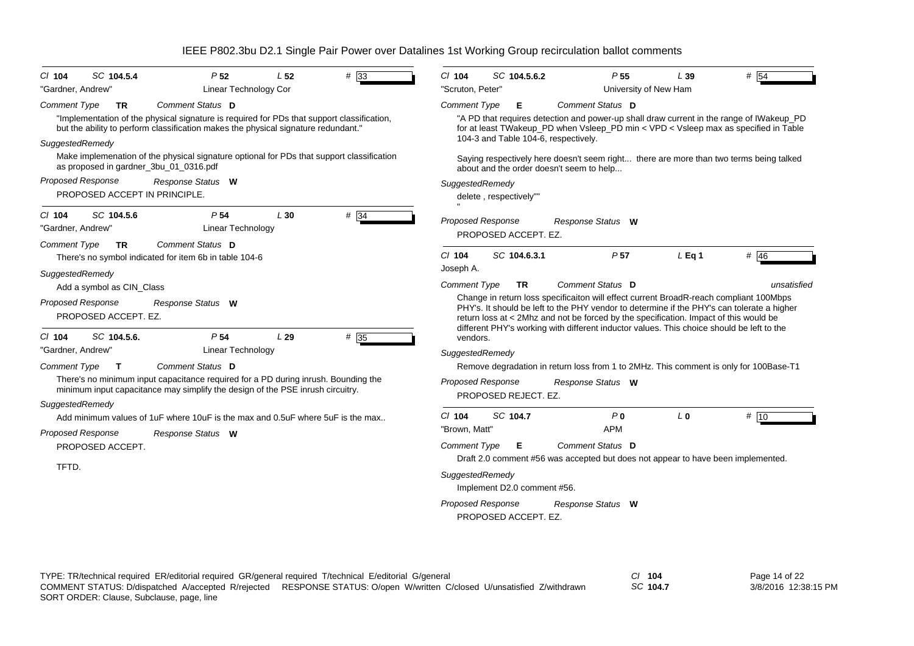| #33<br>SC 104.5.4<br>P <sub>52</sub><br>L <sub>52</sub><br>C/ 104                                                                                                                | SC 104.5.6.2<br>P <sub>55</sub><br># $\overline{54}$<br>$Cl$ 104<br>L39                                                                                                                                                                                                       |
|----------------------------------------------------------------------------------------------------------------------------------------------------------------------------------|-------------------------------------------------------------------------------------------------------------------------------------------------------------------------------------------------------------------------------------------------------------------------------|
| "Gardner, Andrew"<br>Linear Technology Cor                                                                                                                                       | "Scruton, Peter'<br>University of New Ham                                                                                                                                                                                                                                     |
| <b>Comment Type</b><br>Comment Status D<br><b>TR</b>                                                                                                                             | <b>Comment Type</b><br>Comment Status D<br>Е                                                                                                                                                                                                                                  |
| "Implementation of the physical signature is required for PDs that support classification,<br>but the ability to perform classification makes the physical signature redundant." | "A PD that requires detection and power-up shall draw current in the range of IWakeup_PD<br>for at least TWakeup_PD when Vsleep_PD min < VPD < Vsleep max as specified in Table                                                                                               |
| SuggestedRemedy                                                                                                                                                                  | 104-3 and Table 104-6, respectively.                                                                                                                                                                                                                                          |
| Make implemenation of the physical signature optional for PDs that support classification<br>as proposed in gardner_3bu_01_0316.pdf                                              | Saying respectively here doesn't seem right there are more than two terms being talked<br>about and the order doesn't seem to help                                                                                                                                            |
| Proposed Response<br>Response Status W                                                                                                                                           | SuggestedRemedy                                                                                                                                                                                                                                                               |
| PROPOSED ACCEPT IN PRINCIPLE.                                                                                                                                                    | delete, respectively""                                                                                                                                                                                                                                                        |
| SC 104.5.6<br>P <sub>54</sub><br># 34<br>L30<br>$Cl$ 104                                                                                                                         |                                                                                                                                                                                                                                                                               |
| Linear Technology<br>"Gardner, Andrew"                                                                                                                                           | <b>Proposed Response</b><br>Response Status W<br>PROPOSED ACCEPT. EZ.                                                                                                                                                                                                         |
| <b>Comment Type</b><br>Comment Status D<br><b>TR</b>                                                                                                                             |                                                                                                                                                                                                                                                                               |
| There's no symbol indicated for item 6b in table 104-6                                                                                                                           | # 46<br>$CI$ 104<br>SC 104.6.3.1<br>P <sub>57</sub><br>$L$ Eq 1                                                                                                                                                                                                               |
| SuggestedRemedy                                                                                                                                                                  | Joseph A.                                                                                                                                                                                                                                                                     |
| Add a symbol as CIN_Class                                                                                                                                                        | Comment Type<br>Comment Status D<br><b>TR</b><br>unsatisfied                                                                                                                                                                                                                  |
| <b>Proposed Response</b><br>Response Status W<br>PROPOSED ACCEPT. EZ.                                                                                                            | Change in return loss specificaiton will effect current BroadR-reach compliant 100Mbps<br>PHY's. It should be left to the PHY vendor to determine if the PHY's can tolerate a higher<br>return loss at < 2Mhz and not be forced by the specification. Impact of this would be |
| P <sub>54</sub><br># 35<br>SC 104.5.6.<br>L29<br>CI 104                                                                                                                          | different PHY's working with different inductor values. This choice should be left to the<br>vendors.                                                                                                                                                                         |
| Linear Technology<br>"Gardner, Andrew"                                                                                                                                           | SuggestedRemedy                                                                                                                                                                                                                                                               |
| Comment Status D<br>Comment Type<br>$\mathbf{T}$                                                                                                                                 | Remove degradation in return loss from 1 to 2MHz. This comment is only for 100Base-T1                                                                                                                                                                                         |
| There's no minimum input capacitance required for a PD during inrush. Bounding the<br>minimum input capacitance may simplify the design of the PSE inrush circuitry.             | Proposed Response<br>Response Status W<br>PROPOSED REJECT. EZ.                                                                                                                                                                                                                |
| SuggestedRemedy                                                                                                                                                                  |                                                                                                                                                                                                                                                                               |
| Add minimum values of 1uF where 10uF is the max and 0.5uF where 5uF is the max                                                                                                   | # 10<br>SC 104.7<br>P <sub>0</sub><br>$CI$ 104<br>L <sub>0</sub>                                                                                                                                                                                                              |
| <b>Proposed Response</b><br>Response Status W                                                                                                                                    | "Brown, Matt"<br><b>APM</b>                                                                                                                                                                                                                                                   |
| PROPOSED ACCEPT.                                                                                                                                                                 | Comment Type<br>Comment Status D<br>Е<br>Draft 2.0 comment #56 was accepted but does not appear to have been implemented.                                                                                                                                                     |
| TFTD.                                                                                                                                                                            | SuggestedRemedy<br>Implement D2.0 comment #56.                                                                                                                                                                                                                                |
|                                                                                                                                                                                  | <b>Proposed Response</b><br>Response Status W                                                                                                                                                                                                                                 |
|                                                                                                                                                                                  | PROPOSED ACCEPT. EZ.                                                                                                                                                                                                                                                          |
|                                                                                                                                                                                  |                                                                                                                                                                                                                                                                               |

*SC* **104.7**

Page 14 of 22 3/8/2016 12:38:15 PM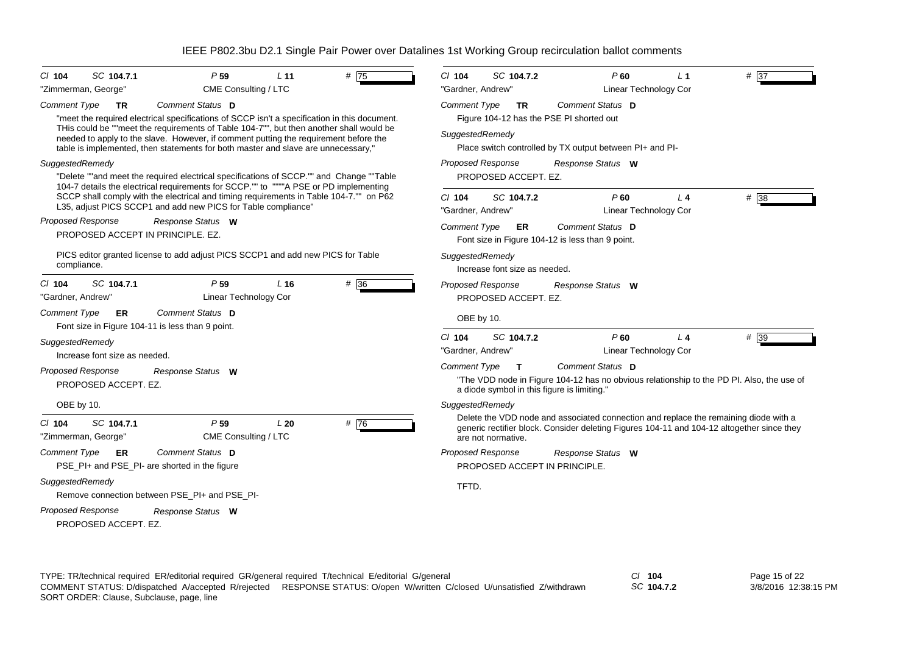| SC 104.7.1<br>$Cl$ 104<br>"Zimmerman, George"                                                                                                            | P <sub>59</sub><br>CME Consulting / LTC                                                                                                                                                                                                                                                                                                                                                  | L <sub>11</sub> | #75               | CI 104<br>SC 104.7.2<br>"Gardner, Andrew"                                                                                         | P60                                                                                                                                                                                | L 1<br>Linear Technology Cor   | # 37              |
|----------------------------------------------------------------------------------------------------------------------------------------------------------|------------------------------------------------------------------------------------------------------------------------------------------------------------------------------------------------------------------------------------------------------------------------------------------------------------------------------------------------------------------------------------------|-----------------|-------------------|-----------------------------------------------------------------------------------------------------------------------------------|------------------------------------------------------------------------------------------------------------------------------------------------------------------------------------|--------------------------------|-------------------|
| Comment Type<br><b>TR</b>                                                                                                                                | Comment Status D<br>"meet the required electrical specifications of SCCP isn't a specification in this document.<br>THis could be ""meet the requirements of Table 104-7"", but then another shall would be<br>needed to apply to the slave. However, if comment putting the requirement before the<br>table is implemented, then statements for both master and slave are unnecessary," |                 |                   | <b>Comment Type</b><br><b>TR</b><br>SuggestedRemedy                                                                               | Comment Status D<br>Figure 104-12 has the PSE PI shorted out<br>Place switch controlled by TX output between PI+ and PI-                                                           |                                |                   |
| SuggestedRemedy                                                                                                                                          | "Delete ""and meet the required electrical specifications of SCCP."" and Change ""Table<br>104-7 details the electrical requirements for SCCP."" to """"A PSE or PD implementing<br>SCCP shall comply with the electrical and timing requirements in Table 104-7."" on P62<br>L35, adjust PICS SCCP1 and add new PICS for Table compliance"                                              |                 |                   | <b>Proposed Response</b><br>PROPOSED ACCEPT. EZ.<br>$Cl$ 104<br>SC 104.7.2<br>"Gardner, Andrew"                                   | Response Status W<br>P60                                                                                                                                                           | $L$ 4<br>Linear Technology Cor | # 38              |
| <b>Proposed Response</b><br>PROPOSED ACCEPT IN PRINCIPLE, EZ.                                                                                            | Response Status W                                                                                                                                                                                                                                                                                                                                                                        |                 |                   | <b>Comment Type</b><br>ER.                                                                                                        | Comment Status D<br>Font size in Figure 104-12 is less than 9 point.                                                                                                               |                                |                   |
| compliance.                                                                                                                                              | PICS editor granted license to add adjust PICS SCCP1 and add new PICS for Table                                                                                                                                                                                                                                                                                                          |                 |                   | SuggestedRemedy<br>Increase font size as needed.                                                                                  |                                                                                                                                                                                    |                                |                   |
| SC 104.7.1<br>$Cl$ 104<br>"Gardner, Andrew"<br><b>Comment Type</b><br>ER.                                                                                | P <sub>59</sub><br>Linear Technology Cor<br>Comment Status D                                                                                                                                                                                                                                                                                                                             | L <sub>16</sub> | $# \overline{36}$ | <b>Proposed Response</b><br>PROPOSED ACCEPT. EZ.<br>OBE by 10.                                                                    | Response Status W                                                                                                                                                                  |                                |                   |
| Font size in Figure 104-11 is less than 9 point.<br>SuggestedRemedy<br>Increase font size as needed.<br><b>Proposed Response</b><br>PROPOSED ACCEPT. EZ. | Response Status W                                                                                                                                                                                                                                                                                                                                                                        |                 |                   | $Cl$ 104<br>SC 104.7.2<br>"Gardner, Andrew"<br><b>Comment Type</b><br>$\mathbf{T}$<br>a diode symbol in this figure is limiting." | $P$ 60<br>Comment Status D<br>"The VDD node in Figure 104-12 has no obvious relationship to the PD PI. Also, the use of                                                            | $L_4$<br>Linear Technology Cor | $# \overline{39}$ |
| OBE by 10.<br>SC 104.7.1<br>$CI$ 104<br>"Zimmerman, George"                                                                                              | P <sub>59</sub><br>CME Consulting / LTC                                                                                                                                                                                                                                                                                                                                                  | L20             | # $\overline{76}$ | SuggestedRemedy<br>are not normative.                                                                                             | Delete the VDD node and associated connection and replace the remaining diode with a<br>generic rectifier block. Consider deleting Figures 104-11 and 104-12 altogether since they |                                |                   |
| Comment Type<br>ER.<br>PSE_PI+ and PSE_PI- are shorted in the figure                                                                                     | Comment Status D                                                                                                                                                                                                                                                                                                                                                                         |                 |                   | <b>Proposed Response</b><br>PROPOSED ACCEPT IN PRINCIPLE.                                                                         | Response Status W                                                                                                                                                                  |                                |                   |
| SuggestedRemedy                                                                                                                                          | Remove connection between PSE_PI+ and PSE_PI-                                                                                                                                                                                                                                                                                                                                            |                 |                   | TFTD.                                                                                                                             |                                                                                                                                                                                    |                                |                   |
| <b>Proposed Response</b><br>PROPOSED ACCEPT. EZ.                                                                                                         | Response Status W                                                                                                                                                                                                                                                                                                                                                                        |                 |                   |                                                                                                                                   |                                                                                                                                                                                    |                                |                   |

*SC* **104.7.2**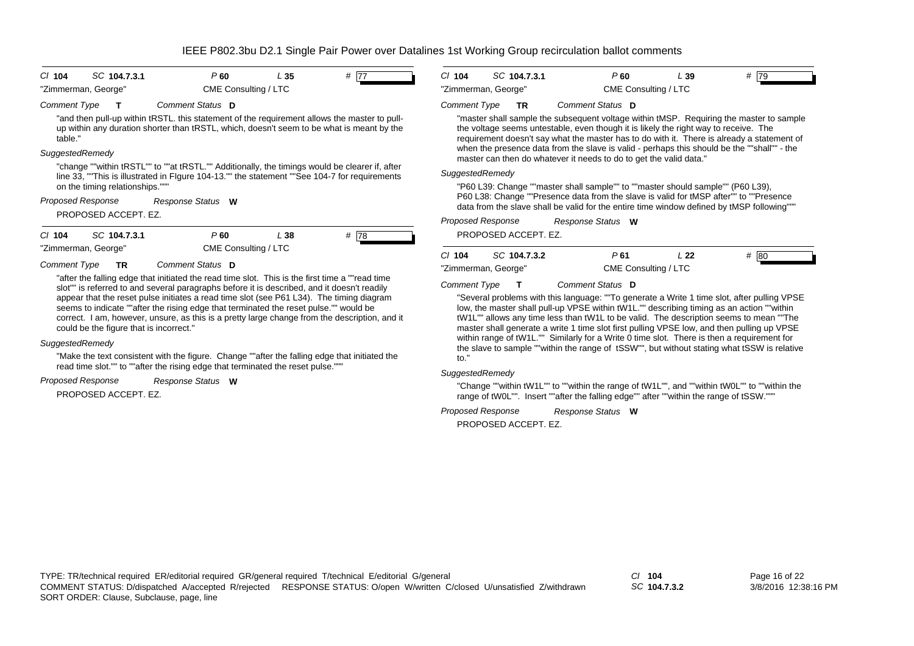| $CI$ 104                   | SC 104.7.3.1                                                                                                                                                                                                                                                                                                                                                                         | P <sub>60</sub>      | L <sub>35</sub> | # 77 | $Cl$ 104     | SC 104.7.3.1                                                                                                                                              |     |
|----------------------------|--------------------------------------------------------------------------------------------------------------------------------------------------------------------------------------------------------------------------------------------------------------------------------------------------------------------------------------------------------------------------------------|----------------------|-----------------|------|--------------|-----------------------------------------------------------------------------------------------------------------------------------------------------------|-----|
|                            | "Zimmerman, George"                                                                                                                                                                                                                                                                                                                                                                  | CME Consulting / LTC |                 |      |              | "Zimmerman, George"                                                                                                                                       |     |
| Comment Type               |                                                                                                                                                                                                                                                                                                                                                                                      | Comment Status D     |                 |      | Comment Type | <b>TR</b>                                                                                                                                                 | Co  |
| table."<br>SuggestedRemedy | "and then pull-up within tRSTL, this statement of the requirement allows the master to pull-<br>up within any duration shorter than tRSTL, which, doesn't seem to be what is meant by the                                                                                                                                                                                            |                      |                 |      |              | "master shall sample the sub<br>the voltage seems untestable<br>requirement doesn't say what<br>when the presence data fron<br>master can then do whateve |     |
|                            | "change ""within tRSTL"" to ""at tRSTL."" Additionally, the timings would be clearer if, after<br>line 33, "This is illustrated in Figure 104-13." the statement "See 104-7 for requirements<br>on the timing relationships."""<br>Proposed Response                                                                                                                                 | Response Status W    |                 |      |              | SuggestedRemedy<br>"P60 L39: Change ""master :<br>P60 L38: Change ""Presence<br>data from the slave shall be                                              |     |
|                            | PROPOSED ACCEPT. EZ.                                                                                                                                                                                                                                                                                                                                                                 |                      |                 |      |              | Proposed Response                                                                                                                                         | Re. |
| $Cl$ 104                   | SC 104.7.3.1                                                                                                                                                                                                                                                                                                                                                                         | $P$ 60               | L 38            | # 78 |              | PROPOSED ACCEPT. EZ.                                                                                                                                      |     |
|                            | "Zimmerman, George"                                                                                                                                                                                                                                                                                                                                                                  | CME Consulting / LTC |                 |      | $Cl$ 104     | SC 104.7.3.2                                                                                                                                              |     |
| <b>Comment Type</b>        | TR                                                                                                                                                                                                                                                                                                                                                                                   | Comment Status D     |                 |      |              | "Zimmerman, George"                                                                                                                                       |     |
|                            | "after the falling edge that initiated the read time slot. This is the first time a ""read time"<br>slot"" is referred to and several paragraphs before it is described, and it doesn't readily<br>appear that the reset pulse initiates a read time slot (see P61 L34). The timing diagram<br>seems to indicate ""after the rising edge that terminated the reset pulse."" would be |                      |                 |      | Comment Type | "Several problems with this I<br>low, the master shall pull-up                                                                                            | C   |

correct. I am, however, unsure, as this is a pretty large change from the description, and it could be the figure that is incorrect."

## *SuggestedRemedy*

"Make the text consistent with the figure. Change ""after the falling edge that initiated the read time slot."" to ""after the rising edge that terminated the reset pulse."""

#### *Response Status* **W** *Proposed Response*

PROPOSED ACCEPT. EZ.

| $Cl$ 104            | SC 104.7.3.1 | P 60                 | L 39 | # 79 |
|---------------------|--------------|----------------------|------|------|
| "Zimmerman, George" |              | CME Consulting / LTC |      |      |

## *Comment Status* **D**

osequent voltage within tMSP. Requiring the master to sample  $te.$  even though it is likely the right way to receive. The at the master has to do with it. There is already a statement of n the slave is valid - perhaps this should be the ""shall"" - the r it needs to do to get the valid data."

shall sample"" to ""master should sample"" (P60 L39), e data from the slave is valid for tMSP after"" to ""Presence valid for the entire time window defined by tMSP following"""

*Response Status* **W**

| $Cl$ 104            | SC 104.7.3.2 | P 61                 | L 22 | #<br>-80 |
|---------------------|--------------|----------------------|------|----------|
| "Zimmerman, George" |              | CME Consulting / LTC |      |          |

*Comment Status* **D**

language: ""To generate a Write 1 time slot, after pulling VPSE VPSE within tW1L."" describing timing as an action ""within tW1L"" allows any time less than tW1L to be valid. The description seems to mean ""The master shall generate a write 1 time slot first pulling VPSE low, and then pulling up VPSE within range of tW1L."" Similarly for a Write 0 time slot. There is then a requirement for the slave to sample ""within the range of tSSW"", but without stating what tSSW is relative to."

# *SuggestedRemedy*

"Change ""within tW1L"" to ""within the range of tW1L"", and ""within tW0L"" to ""within the range of tW0L"". Insert ""after the falling edge"" after ""within the range of tSSW."""

*Response Status* **W** *Proposed Response*

PROPOSED ACCEPT. EZ.

*SC* **104.7.3.2**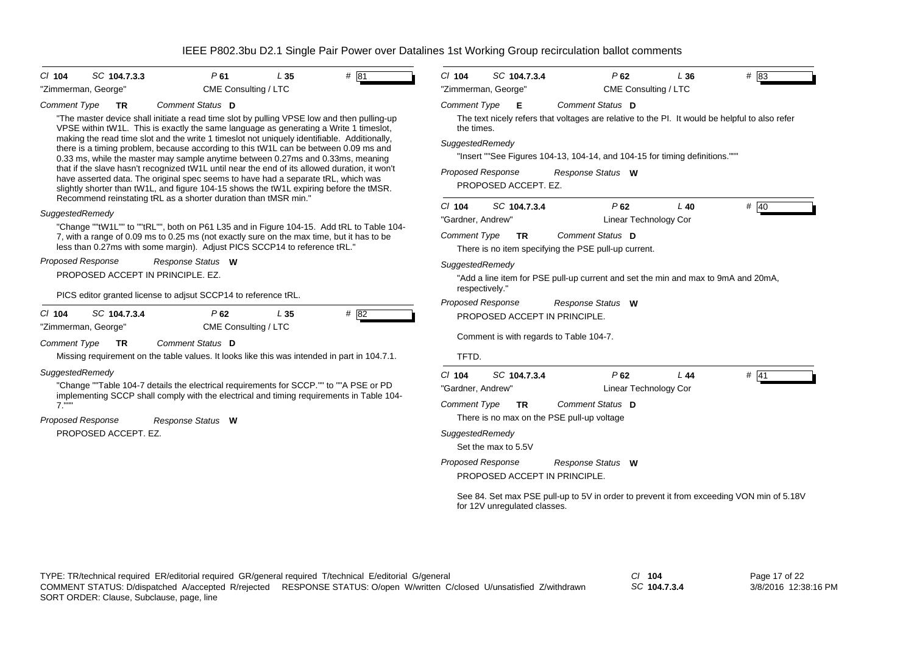| P61<br># 81<br>$Cl$ 104<br>SC 104.7.3.3<br>L <sub>35</sub>                                                                                                                                                                                                                                                                                                                                                                                                                                                                                                                                                                                                                                                                                                                                                       | $Cl$ 104<br>P62<br># 83<br>SC 104.7.3.4<br>L36                                                                                                                                                                                                                                          |  |  |  |
|------------------------------------------------------------------------------------------------------------------------------------------------------------------------------------------------------------------------------------------------------------------------------------------------------------------------------------------------------------------------------------------------------------------------------------------------------------------------------------------------------------------------------------------------------------------------------------------------------------------------------------------------------------------------------------------------------------------------------------------------------------------------------------------------------------------|-----------------------------------------------------------------------------------------------------------------------------------------------------------------------------------------------------------------------------------------------------------------------------------------|--|--|--|
| "Zimmerman, George"<br>CME Consulting / LTC                                                                                                                                                                                                                                                                                                                                                                                                                                                                                                                                                                                                                                                                                                                                                                      | "Zimmerman, George"<br>CME Consulting / LTC                                                                                                                                                                                                                                             |  |  |  |
| Comment Status D<br><b>Comment Type</b><br><b>TR</b>                                                                                                                                                                                                                                                                                                                                                                                                                                                                                                                                                                                                                                                                                                                                                             | <b>Comment Type</b><br>Comment Status D<br>E                                                                                                                                                                                                                                            |  |  |  |
| "The master device shall initiate a read time slot by pulling VPSE low and then pulling-up<br>VPSE within tW1L. This is exactly the same language as generating a Write 1 timeslot,<br>making the read time slot and the write 1 timeslot not uniquely identifiable. Additionally,<br>there is a timing problem, because according to this tW1L can be between 0.09 ms and<br>0.33 ms, while the master may sample anytime between 0.27ms and 0.33ms, meaning<br>that if the slave hasn't recognized tW1L until near the end of its allowed duration, it won't<br>have asserted data. The original spec seems to have had a separate tRL, which was<br>slightly shorter than tW1L, and figure 104-15 shows the tW1L expiring before the tMSR.<br>Recommend reinstating tRL as a shorter duration than tMSR min." | The text nicely refers that voltages are relative to the PI. It would be helpful to also refer<br>the times.<br>SuggestedRemedy<br>"Insert ""See Figures 104-13, 104-14, and 104-15 for timing definitions."""<br><b>Proposed Response</b><br>Response Status W<br>PROPOSED ACCEPT. EZ. |  |  |  |
| SuggestedRemedy                                                                                                                                                                                                                                                                                                                                                                                                                                                                                                                                                                                                                                                                                                                                                                                                  | $Cl$ 104<br># $40$<br>SC 104.7.3.4<br>P62<br>$L$ 40                                                                                                                                                                                                                                     |  |  |  |
| "Change ""tW1L"" to ""tRL"", both on P61 L35 and in Figure 104-15. Add tRL to Table 104-                                                                                                                                                                                                                                                                                                                                                                                                                                                                                                                                                                                                                                                                                                                         | Linear Technology Cor<br>"Gardner, Andrew"                                                                                                                                                                                                                                              |  |  |  |
| 7, with a range of 0.09 ms to 0.25 ms (not exactly sure on the max time, but it has to be<br>less than 0.27ms with some margin). Adjust PICS SCCP14 to reference tRL."                                                                                                                                                                                                                                                                                                                                                                                                                                                                                                                                                                                                                                           | <b>Comment Type</b><br>Comment Status D<br>TR<br>There is no item specifying the PSE pull-up current.                                                                                                                                                                                   |  |  |  |
| <b>Proposed Response</b><br>Response Status W                                                                                                                                                                                                                                                                                                                                                                                                                                                                                                                                                                                                                                                                                                                                                                    | SuggestedRemedy                                                                                                                                                                                                                                                                         |  |  |  |
| PROPOSED ACCEPT IN PRINCIPLE, EZ.                                                                                                                                                                                                                                                                                                                                                                                                                                                                                                                                                                                                                                                                                                                                                                                | "Add a line item for PSE pull-up current and set the min and max to 9mA and 20mA,                                                                                                                                                                                                       |  |  |  |
| PICS editor granted license to adjsut SCCP14 to reference tRL.                                                                                                                                                                                                                                                                                                                                                                                                                                                                                                                                                                                                                                                                                                                                                   | respectively."                                                                                                                                                                                                                                                                          |  |  |  |
|                                                                                                                                                                                                                                                                                                                                                                                                                                                                                                                                                                                                                                                                                                                                                                                                                  | Proposed Response<br>Response Status W                                                                                                                                                                                                                                                  |  |  |  |
| # 82<br>$Cl$ 104<br>SC 104.7.3.4<br>P62<br>L <sub>35</sub><br>CME Consulting / LTC<br>"Zimmerman, George"                                                                                                                                                                                                                                                                                                                                                                                                                                                                                                                                                                                                                                                                                                        | PROPOSED ACCEPT IN PRINCIPLE.                                                                                                                                                                                                                                                           |  |  |  |
|                                                                                                                                                                                                                                                                                                                                                                                                                                                                                                                                                                                                                                                                                                                                                                                                                  | Comment is with regards to Table 104-7.                                                                                                                                                                                                                                                 |  |  |  |
| <b>Comment Type</b><br>Comment Status D<br><b>TR</b>                                                                                                                                                                                                                                                                                                                                                                                                                                                                                                                                                                                                                                                                                                                                                             | TFTD.                                                                                                                                                                                                                                                                                   |  |  |  |
| Missing requirement on the table values. It looks like this was intended in part in 104.7.1.                                                                                                                                                                                                                                                                                                                                                                                                                                                                                                                                                                                                                                                                                                                     |                                                                                                                                                                                                                                                                                         |  |  |  |
| SuggestedRemedy                                                                                                                                                                                                                                                                                                                                                                                                                                                                                                                                                                                                                                                                                                                                                                                                  | $Cl$ 104<br>SC 104.7.3.4<br>P62<br># 41<br>L44                                                                                                                                                                                                                                          |  |  |  |
| "Change ""Table 104-7 details the electrical requirements for SCCP."" to ""A PSE or PD<br>implementing SCCP shall comply with the electrical and timing requirements in Table 104-                                                                                                                                                                                                                                                                                                                                                                                                                                                                                                                                                                                                                               | "Gardner, Andrew"<br>Linear Technology Cor                                                                                                                                                                                                                                              |  |  |  |
| $7."$ "                                                                                                                                                                                                                                                                                                                                                                                                                                                                                                                                                                                                                                                                                                                                                                                                          | <b>Comment Type</b><br>Comment Status D<br>TR.                                                                                                                                                                                                                                          |  |  |  |
| <b>Proposed Response</b><br>Response Status W                                                                                                                                                                                                                                                                                                                                                                                                                                                                                                                                                                                                                                                                                                                                                                    | There is no max on the PSE pull-up voltage                                                                                                                                                                                                                                              |  |  |  |
| PROPOSED ACCEPT. EZ.                                                                                                                                                                                                                                                                                                                                                                                                                                                                                                                                                                                                                                                                                                                                                                                             | SuggestedRemedy                                                                                                                                                                                                                                                                         |  |  |  |
|                                                                                                                                                                                                                                                                                                                                                                                                                                                                                                                                                                                                                                                                                                                                                                                                                  | Set the max to 5.5V                                                                                                                                                                                                                                                                     |  |  |  |
|                                                                                                                                                                                                                                                                                                                                                                                                                                                                                                                                                                                                                                                                                                                                                                                                                  | Proposed Response<br>Response Status W                                                                                                                                                                                                                                                  |  |  |  |
|                                                                                                                                                                                                                                                                                                                                                                                                                                                                                                                                                                                                                                                                                                                                                                                                                  | PROPOSED ACCEPT IN PRINCIPLE.                                                                                                                                                                                                                                                           |  |  |  |
|                                                                                                                                                                                                                                                                                                                                                                                                                                                                                                                                                                                                                                                                                                                                                                                                                  | See 84. Set max PSE pull-up to 5V in order to prevent it from exceeding VON min of 5.18V<br>for 12V unregulated classes.                                                                                                                                                                |  |  |  |

*SC* **104.7.3.4**

Page 17 of 22 3/8/2016 12:38:16 PM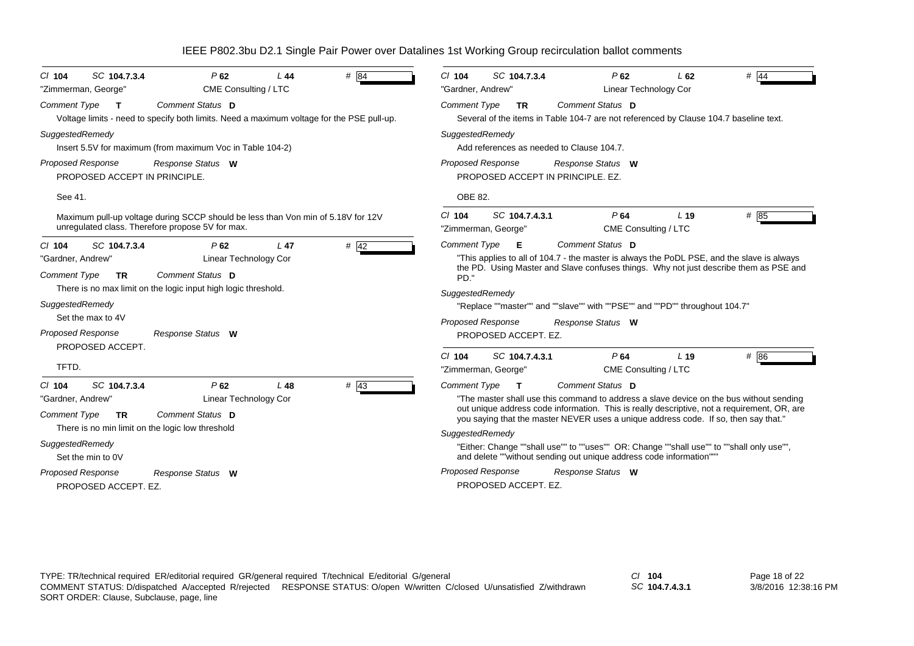| # $84$<br>SC 104.7.3.4<br>$CI$ 104<br>P62<br>L44<br>CME Consulting / LTC<br>"Zimmerman, George"                                                                                                                                                                                                                                          | SC 104.7.3.4<br>P62<br># 44<br>$CI$ 104<br>L62<br>"Gardner, Andrew"<br>Linear Technology Cor                                                                                                                                                                                                                                                                                                                                                                                                                                                                                                            |
|------------------------------------------------------------------------------------------------------------------------------------------------------------------------------------------------------------------------------------------------------------------------------------------------------------------------------------------|---------------------------------------------------------------------------------------------------------------------------------------------------------------------------------------------------------------------------------------------------------------------------------------------------------------------------------------------------------------------------------------------------------------------------------------------------------------------------------------------------------------------------------------------------------------------------------------------------------|
| Comment Status D<br><b>Comment Type</b><br>$\mathbf{T}$<br>Voltage limits - need to specify both limits. Need a maximum voltage for the PSE pull-up.                                                                                                                                                                                     | Comment Status D<br>Comment Type<br>TR.<br>Several of the items in Table 104-7 are not referenced by Clause 104.7 baseline text.                                                                                                                                                                                                                                                                                                                                                                                                                                                                        |
| SuggestedRemedy<br>Insert 5.5V for maximum (from maximum Voc in Table 104-2)                                                                                                                                                                                                                                                             | SuggestedRemedy<br>Add references as needed to Clause 104.7.                                                                                                                                                                                                                                                                                                                                                                                                                                                                                                                                            |
| <b>Proposed Response</b><br>Response Status W<br>PROPOSED ACCEPT IN PRINCIPLE.                                                                                                                                                                                                                                                           | <b>Proposed Response</b><br>Response Status W<br>PROPOSED ACCEPT IN PRINCIPLE, EZ.                                                                                                                                                                                                                                                                                                                                                                                                                                                                                                                      |
| See 41.                                                                                                                                                                                                                                                                                                                                  | OBE 82.                                                                                                                                                                                                                                                                                                                                                                                                                                                                                                                                                                                                 |
| Maximum pull-up voltage during SCCP should be less than Von min of 5.18V for 12V<br>unregulated class. Therefore propose 5V for max.                                                                                                                                                                                                     | P64<br>$Cl$ 104<br>SC 104.7.4.3.1<br>L <sub>19</sub><br># 85<br>"Zimmerman, George"<br>CME Consulting / LTC                                                                                                                                                                                                                                                                                                                                                                                                                                                                                             |
| $#$ 42<br>SC 104.7.3.4<br>$L$ 47<br>$Cl$ 104<br>P62<br>Linear Technology Cor<br>"Gardner, Andrew"<br>Comment Status D<br><b>Comment Type</b><br><b>TR</b><br>There is no max limit on the logic input high logic threshold.<br>SuggestedRemedy<br>Set the max to 4V<br><b>Proposed Response</b><br>Response Status W<br>PROPOSED ACCEPT. | Comment Type<br>Comment Status D<br>- E<br>"This applies to all of 104.7 - the master is always the PoDL PSE, and the slave is always<br>the PD. Using Master and Slave confuses things. Why not just describe them as PSE and<br>PD."<br>SuggestedRemedy<br>"Replace ""master"" and ""slave"" with ""PSE"" and ""PD"" throughout 104.7"<br><b>Proposed Response</b><br>Response Status W<br>PROPOSED ACCEPT. EZ.                                                                                                                                                                                       |
| TFTD.                                                                                                                                                                                                                                                                                                                                    | P64<br>$Cl$ 104<br>SC 104.7.4.3.1<br>L <sub>19</sub><br># 86<br>"Zimmerman, George"<br>CME Consulting / LTC                                                                                                                                                                                                                                                                                                                                                                                                                                                                                             |
| $\#$ 43<br>SC 104.7.3.4<br>P62<br>$Cl$ 104<br>L 48<br>Linear Technology Cor<br>"Gardner, Andrew"<br>Comment Status D<br><b>Comment Type</b><br><b>TR</b><br>There is no min limit on the logic low threshold<br>SuggestedRemedy<br>Set the min to 0V<br><b>Proposed Response</b><br>Response Status W<br>PROPOSED ACCEPT. EZ.            | <b>Comment Type</b><br>Comment Status D<br>$\mathbf{T}$<br>"The master shall use this command to address a slave device on the bus without sending<br>out unique address code information. This is really descriptive, not a requirement, OR, are<br>you saying that the master NEVER uses a unique address code. If so, then say that."<br>SuggestedRemedy<br>"Either: Change ""shall use"" to ""uses"" OR: Change ""shall use"" to ""shall only use"",<br>and delete ""without sending out unique address code information""<br><b>Proposed Response</b><br>Response Status W<br>PROPOSED ACCEPT. EZ. |

*SC* **104.7.4.3.1**

Page 18 of 22 3/8/2016 12:38:16 PM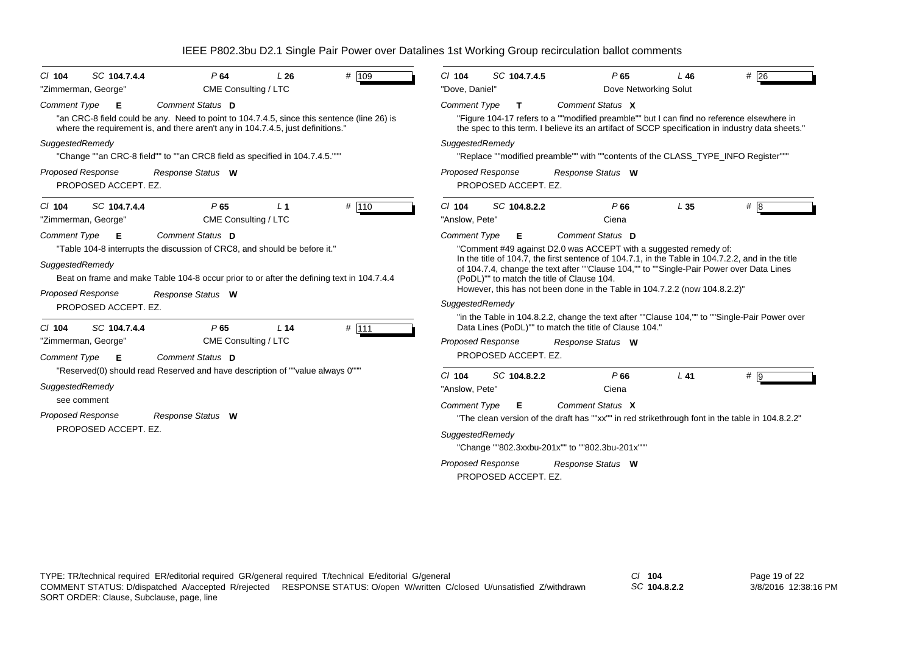| SC 104.7.4.4                                                                                                                                                                                                                                                       | $#$ 26                                                                                                                                                                                                                                                                                                                                                                                                                                                                                                            |  |  |  |
|--------------------------------------------------------------------------------------------------------------------------------------------------------------------------------------------------------------------------------------------------------------------|-------------------------------------------------------------------------------------------------------------------------------------------------------------------------------------------------------------------------------------------------------------------------------------------------------------------------------------------------------------------------------------------------------------------------------------------------------------------------------------------------------------------|--|--|--|
| P64                                                                                                                                                                                                                                                                | $CI$ 104                                                                                                                                                                                                                                                                                                                                                                                                                                                                                                          |  |  |  |
| # 109                                                                                                                                                                                                                                                              | SC 104.7.4.5                                                                                                                                                                                                                                                                                                                                                                                                                                                                                                      |  |  |  |
| $Cl$ 104                                                                                                                                                                                                                                                           | P65                                                                                                                                                                                                                                                                                                                                                                                                                                                                                                               |  |  |  |
| L26                                                                                                                                                                                                                                                                | L46                                                                                                                                                                                                                                                                                                                                                                                                                                                                                                               |  |  |  |
| "Zimmerman, George"                                                                                                                                                                                                                                                | "Dove, Daniel"                                                                                                                                                                                                                                                                                                                                                                                                                                                                                                    |  |  |  |
| CME Consulting / LTC                                                                                                                                                                                                                                               | Dove Networking Solut                                                                                                                                                                                                                                                                                                                                                                                                                                                                                             |  |  |  |
| Comment Status D                                                                                                                                                                                                                                                   | Comment Status X                                                                                                                                                                                                                                                                                                                                                                                                                                                                                                  |  |  |  |
| Comment Type                                                                                                                                                                                                                                                       | <b>Comment Type</b>                                                                                                                                                                                                                                                                                                                                                                                                                                                                                               |  |  |  |
| Е                                                                                                                                                                                                                                                                  | T.                                                                                                                                                                                                                                                                                                                                                                                                                                                                                                                |  |  |  |
| "an CRC-8 field could be any. Need to point to 104.7.4.5, since this sentence (line 26) is                                                                                                                                                                         | "Figure 104-17 refers to a ""modified preamble"" but I can find no reference elsewhere in                                                                                                                                                                                                                                                                                                                                                                                                                         |  |  |  |
| where the requirement is, and there aren't any in 104.7.4.5, just definitions."                                                                                                                                                                                    | the spec to this term. I believe its an artifact of SCCP specification in industry data sheets."                                                                                                                                                                                                                                                                                                                                                                                                                  |  |  |  |
| SuggestedRemedy                                                                                                                                                                                                                                                    | SuggestedRemedy                                                                                                                                                                                                                                                                                                                                                                                                                                                                                                   |  |  |  |
| "Change ""an CRC-8 field"" to ""an CRC8 field as specified in 104.7.4.5."""                                                                                                                                                                                        | "Replace ""modified preamble"" with ""contents of the CLASS_TYPE_INFO Register"""                                                                                                                                                                                                                                                                                                                                                                                                                                 |  |  |  |
| <b>Proposed Response</b>                                                                                                                                                                                                                                           | Proposed Response                                                                                                                                                                                                                                                                                                                                                                                                                                                                                                 |  |  |  |
| Response Status W                                                                                                                                                                                                                                                  | Response Status W                                                                                                                                                                                                                                                                                                                                                                                                                                                                                                 |  |  |  |
| PROPOSED ACCEPT. EZ.                                                                                                                                                                                                                                               | PROPOSED ACCEPT. EZ.                                                                                                                                                                                                                                                                                                                                                                                                                                                                                              |  |  |  |
| # 110                                                                                                                                                                                                                                                              | SC 104.8.2.2                                                                                                                                                                                                                                                                                                                                                                                                                                                                                                      |  |  |  |
| SC 104.7.4.4                                                                                                                                                                                                                                                       | # 8                                                                                                                                                                                                                                                                                                                                                                                                                                                                                                               |  |  |  |
| P65                                                                                                                                                                                                                                                                | $Cl$ 104                                                                                                                                                                                                                                                                                                                                                                                                                                                                                                          |  |  |  |
| $CI$ 104                                                                                                                                                                                                                                                           | P66                                                                                                                                                                                                                                                                                                                                                                                                                                                                                                               |  |  |  |
| L <sub>1</sub>                                                                                                                                                                                                                                                     | L <sub>35</sub>                                                                                                                                                                                                                                                                                                                                                                                                                                                                                                   |  |  |  |
| "Zimmerman, George"                                                                                                                                                                                                                                                | "Anslow, Pete"                                                                                                                                                                                                                                                                                                                                                                                                                                                                                                    |  |  |  |
| CME Consulting / LTC                                                                                                                                                                                                                                               | Ciena                                                                                                                                                                                                                                                                                                                                                                                                                                                                                                             |  |  |  |
| "Table 104-8 interrupts the discussion of CRC8, and should be before it."<br>SuggestedRemedy<br>Beat on frame and make Table 104-8 occur prior to or after the defining text in 104.7.4.4<br><b>Proposed Response</b><br>Response Status W<br>PROPOSED ACCEPT. EZ. | "Comment #49 against D2.0 was ACCEPT with a suggested remedy of:<br>In the title of 104.7, the first sentence of 104.7.1, in the Table in 104.7.2.2, and in the title<br>of 104.7.4, change the text after ""Clause 104,"" to ""Single-Pair Power over Data Lines<br>(PoDL)"" to match the title of Clause 104.<br>However, this has not been done in the Table in 104.7.2.2 (now 104.8.2.2)"<br>SuggestedRemedy<br>"in the Table in 104.8.2.2, change the text after ""Clause 104,"" to ""Single-Pair Power over |  |  |  |
| # 111<br>SC 104.7.4.4<br>P65<br>L <sub>14</sub><br>$Cl$ 104<br>"Zimmerman, George"<br>CME Consulting / LTC<br>Comment Status D<br>Comment Type<br>Е                                                                                                                | Data Lines (PoDL)"" to match the title of Clause 104."<br><b>Proposed Response</b><br>Response Status W<br>PROPOSED ACCEPT. EZ.                                                                                                                                                                                                                                                                                                                                                                                   |  |  |  |
| "Reserved(0) should read Reserved and have description of ""value always 0"""<br>SuggestedRemedy<br>see comment<br><b>Proposed Response</b><br>Response Status W<br>PROPOSED ACCEPT. EZ.                                                                           | SC 104.8.2.2<br>P66<br>$L$ 41<br># 9<br>$CI$ 104<br>"Anslow, Pete"<br>Ciena<br>Comment Status X<br><b>Comment Type</b><br>Е<br>"The clean version of the draft has ""xx"" in red strikethrough font in the table in 104.8.2.2"<br>SuggestedRemedy<br>"Change ""802.3xxbu-201x"" to ""802.3bu-201x"""<br><b>Proposed Response</b><br>Response Status W<br>PROPOSED ACCEPT. EZ.                                                                                                                                     |  |  |  |

*SC* **104.8.2.2**

Page 19 of 22 3/8/2016 12:38:16 PM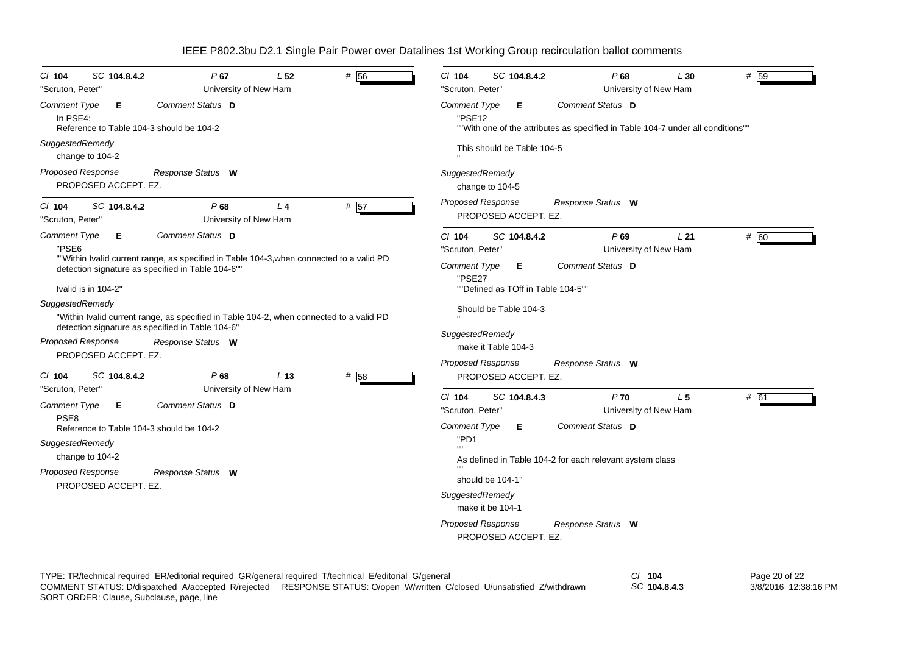| # 56<br>SC 104.8.4.2<br>P67<br>L <sub>52</sub><br>$CI$ 104<br>"Scruton, Peter"<br>University of New Ham                                                                                                                                                                           | # 59<br>$Cl$ 104<br>SC 104.8.4.2<br>P68<br>L30<br>"Scruton, Peter'<br>University of New Ham                                                                             |
|-----------------------------------------------------------------------------------------------------------------------------------------------------------------------------------------------------------------------------------------------------------------------------------|-------------------------------------------------------------------------------------------------------------------------------------------------------------------------|
| Comment Status D<br><b>Comment Type</b><br>Е<br>In PSE4:<br>Reference to Table 104-3 should be 104-2<br>SuggestedRemedy<br>change to 104-2                                                                                                                                        | Comment Status D<br><b>Comment Type</b><br>Е<br>"PSE12<br>""With one of the attributes as specified in Table 104-7 under all conditions""<br>This should be Table 104-5 |
| <b>Proposed Response</b><br>Response Status W<br>PROPOSED ACCEPT. EZ.                                                                                                                                                                                                             | SuggestedRemedy<br>change to 104-5                                                                                                                                      |
| # $57$<br>P68<br>SC 104.8.4.2<br>L <sub>4</sub><br>$CI$ 104<br>"Scruton, Peter"<br>University of New Ham                                                                                                                                                                          | <b>Proposed Response</b><br>Response Status W<br>PROPOSED ACCEPT. EZ.                                                                                                   |
| Comment Status D<br><b>Comment Type</b><br>Е<br>"PSE6                                                                                                                                                                                                                             | # 60<br>$Cl$ 104<br>SC 104.8.4.2<br>$P$ 69<br>L21<br>University of New Ham<br>"Scruton, Peter'                                                                          |
| ""Within Ivalid current range, as specified in Table 104-3, when connected to a valid PD<br>detection signature as specified in Table 104-6"<br>Ivalid is in 104-2"<br>SuggestedRemedy<br>"Within Ivalid current range, as specified in Table 104-2, when connected to a valid PD | Comment Status D<br>Comment Type<br>E.<br>"PSE27<br>""Defined as TOff in Table 104-5""<br>Should be Table 104-3                                                         |
| detection signature as specified in Table 104-6"<br><b>Proposed Response</b><br>Response Status W<br>PROPOSED ACCEPT. EZ.                                                                                                                                                         | SuggestedRemedy<br>make it Table 104-3                                                                                                                                  |
| P68<br>L <sub>13</sub><br># 58<br>$CI$ 104<br>SC 104.8.4.2                                                                                                                                                                                                                        | <b>Proposed Response</b><br>Response Status W<br>PROPOSED ACCEPT. EZ.                                                                                                   |
| "Scruton, Peter"<br>University of New Ham<br>Comment Status D<br>Comment Type<br>Е<br>PSE <sub>8</sub>                                                                                                                                                                            | $P$ 70<br># 61<br>$CI$ 104<br>L <sub>5</sub><br>SC 104.8.4.3<br>"Scruton, Peter'<br>University of New Ham                                                               |
| Reference to Table 104-3 should be 104-2<br>SuggestedRemedy<br>change to 104-2<br><b>Proposed Response</b><br>Response Status W<br>PROPOSED ACCEPT. EZ.                                                                                                                           | Comment Status D<br><b>Comment Type</b><br>Е.<br>"PD1<br>As defined in Table 104-2 for each relevant system class<br>should be 104-1<br>SuggestedRemedy                 |
|                                                                                                                                                                                                                                                                                   | make it be 104-1<br><b>Proposed Response</b><br>Response Status W<br>PROPOSED ACCEPT. EZ.                                                                               |

TYPE: TR/technical required ER/editorial required GR/general required T/technical E/editorial G/general *Cl* **104** SORT ORDER: Clause, Subclause, page, line COMMENT STATUS: D/dispatched A/accepted R/rejected RESPONSE STATUS: O/open W/written C/closed U/unsatisfied Z/withdrawn

*SC* **104.8.4.3**

Page 20 of 22 3/8/2016 12:38:16 PM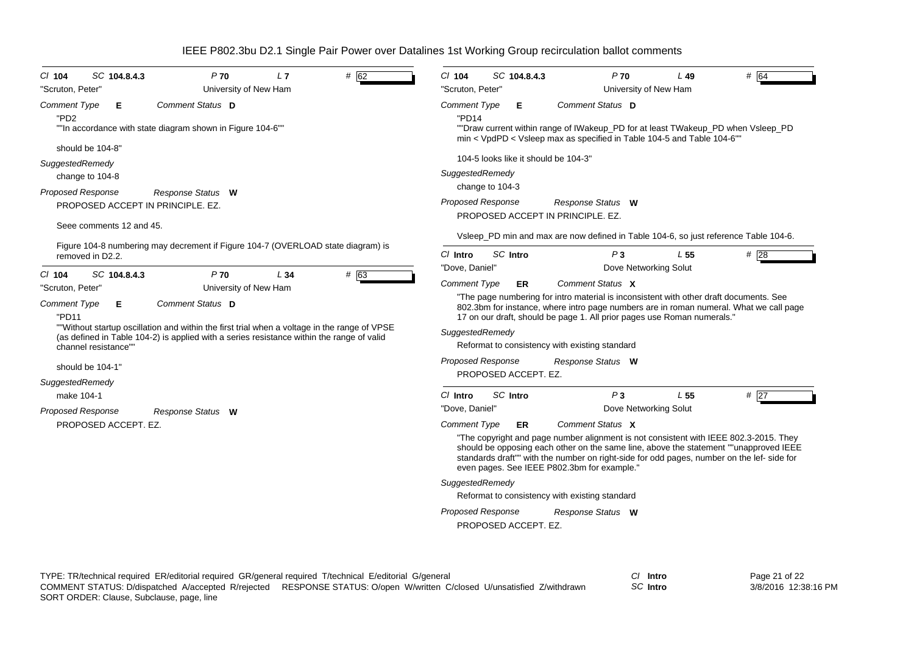| # 62<br>$P$ 70<br>$CI$ 104<br>SC 104.8.4.3<br>L7<br>"Scruton, Peter"<br>University of New Ham                                                                                                                                                                                                  | # 64<br>$Cl$ 104<br>$P$ 70<br>SC 104.8.4.3<br>L 49<br>"Scruton, Peter'<br>University of New Ham                                                                                                                                                                                                                                                                                                                                                                    |
|------------------------------------------------------------------------------------------------------------------------------------------------------------------------------------------------------------------------------------------------------------------------------------------------|--------------------------------------------------------------------------------------------------------------------------------------------------------------------------------------------------------------------------------------------------------------------------------------------------------------------------------------------------------------------------------------------------------------------------------------------------------------------|
| Comment Status D<br><b>Comment Type</b><br>Е<br>"PD <sub>2</sub><br>""In accordance with state diagram shown in Figure 104-6""                                                                                                                                                                 | Comment Status D<br><b>Comment Type</b><br>Е<br>"PD14<br>""Draw current within range of IWakeup_PD for at least TWakeup_PD when Vsleep_PD<br>min < VpdPD < Vsleep max as specified in Table 104-5 and Table 104-6""                                                                                                                                                                                                                                                |
| should be 104-8"                                                                                                                                                                                                                                                                               | 104-5 looks like it should be 104-3"                                                                                                                                                                                                                                                                                                                                                                                                                               |
| SuggestedRemedy                                                                                                                                                                                                                                                                                | SuggestedRemedy                                                                                                                                                                                                                                                                                                                                                                                                                                                    |
| change to 104-8                                                                                                                                                                                                                                                                                | change to 104-3                                                                                                                                                                                                                                                                                                                                                                                                                                                    |
| <b>Proposed Response</b><br>Response Status W<br>PROPOSED ACCEPT IN PRINCIPLE. EZ.                                                                                                                                                                                                             | <b>Proposed Response</b><br>Response Status W<br>PROPOSED ACCEPT IN PRINCIPLE, EZ.                                                                                                                                                                                                                                                                                                                                                                                 |
| Seee comments 12 and 45.                                                                                                                                                                                                                                                                       | Vsleep_PD min and max are now defined in Table 104-6, so just reference Table 104-6.                                                                                                                                                                                                                                                                                                                                                                               |
| Figure 104-8 numbering may decrement if Figure 104-7 (OVERLOAD state diagram) is<br>removed in D2.2.                                                                                                                                                                                           | SC Intro<br>#28<br>$Cl$ Intro<br>P <sub>3</sub><br>L <sub>55</sub><br>"Dove, Daniel"<br>Dove Networking Solut                                                                                                                                                                                                                                                                                                                                                      |
| # 63<br>SC 104.8.4.3<br>P <sub>70</sub><br>$CI$ 104<br>L34<br>"Scruton, Peter"<br>University of New Ham                                                                                                                                                                                        | <b>Comment Type</b><br>Comment Status X<br>ER                                                                                                                                                                                                                                                                                                                                                                                                                      |
| Comment Status D<br><b>Comment Type</b><br>Е<br>"PD11<br>""Without startup oscillation and within the first trial when a voltage in the range of VPSE<br>(as defined in Table 104-2) is applied with a series resistance within the range of valid<br>channel resistance""<br>should be 104-1" | "The page numbering for intro material is inconsistent with other draft documents. See<br>802.3bm for instance, where intro page numbers are in roman numeral. What we call page<br>17 on our draft, should be page 1. All prior pages use Roman numerals."<br>SuggestedRemedy<br>Reformat to consistency with existing standard<br><b>Proposed Response</b><br>Response Status W<br>PROPOSED ACCEPT. EZ.                                                          |
| SuggestedRemedy                                                                                                                                                                                                                                                                                |                                                                                                                                                                                                                                                                                                                                                                                                                                                                    |
| make 104-1                                                                                                                                                                                                                                                                                     | SC Intro<br>P <sub>3</sub><br># $\overline{27}$<br>C/ Intro<br>L <sub>55</sub>                                                                                                                                                                                                                                                                                                                                                                                     |
| <b>Proposed Response</b><br>Response Status W<br>PROPOSED ACCEPT. EZ.                                                                                                                                                                                                                          | "Dove, Daniel"<br>Dove Networking Solut<br>Comment Status X<br><b>Comment Type</b><br><b>ER</b>                                                                                                                                                                                                                                                                                                                                                                    |
|                                                                                                                                                                                                                                                                                                | "The copyright and page number alignment is not consistent with IEEE 802.3-2015. They<br>should be opposing each other on the same line, above the statement ""unapproved IEEE<br>standards draft"" with the number on right-side for odd pages, number on the lef- side for<br>even pages. See IEEE P802.3bm for example."<br>SuggestedRemedy<br>Reformat to consistency with existing standard<br>Proposed Response<br>Response Status W<br>PROPOSED ACCEPT. EZ. |

*SC* **Intro**